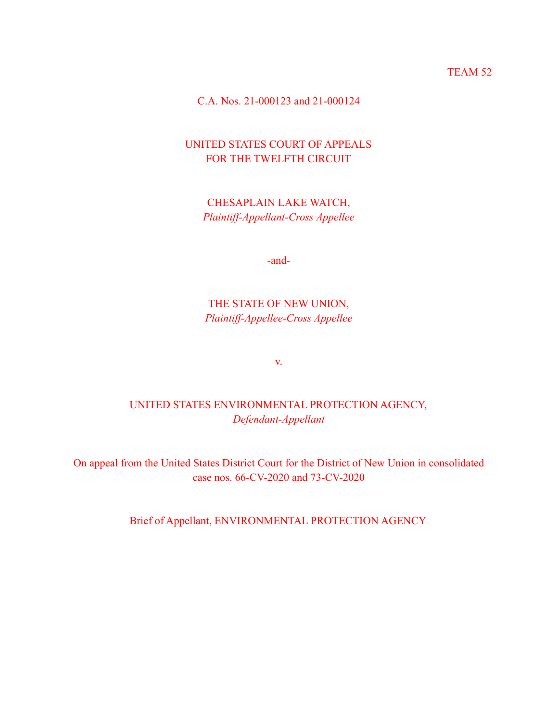TEAM 52

C.A. Nos. 21-000123 and 21-000124

# UNITED STATES COURT OF APPEALS FOR THE TWELFTH CIRCUIT

CHESAPLAIN LAKE WATCH, *Plaintiff-Appellant-Cross Appellee*

-and-

# THE STATE OF NEW UNION, *Plaintiff-Appellee-Cross Appellee*

v.

# UNITED STATES ENVIRONMENTAL PROTECTION AGENCY, *Defendant-Appellant*

On appeal from the United States District Court for the District of New Union in consolidated case nos. 66-CV-2020 and 73-CV-2020

Brief of Appellant, ENVIRONMENTAL PROTECTION AGENCY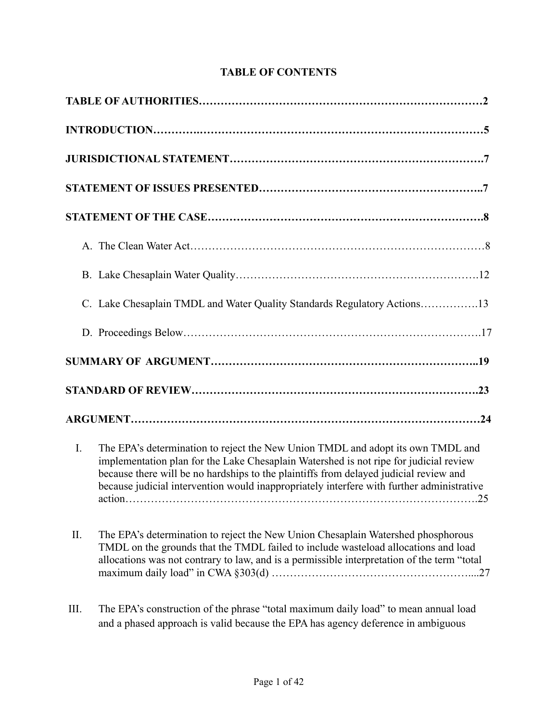# **TABLE OF CONTENTS**

|             | C. Lake Chesaplain TMDL and Water Quality Standards Regulatory Actions13                                                                                                                                                                                                                                                                                                       |
|-------------|--------------------------------------------------------------------------------------------------------------------------------------------------------------------------------------------------------------------------------------------------------------------------------------------------------------------------------------------------------------------------------|
|             |                                                                                                                                                                                                                                                                                                                                                                                |
|             |                                                                                                                                                                                                                                                                                                                                                                                |
|             |                                                                                                                                                                                                                                                                                                                                                                                |
|             |                                                                                                                                                                                                                                                                                                                                                                                |
| $I_{\cdot}$ | The EPA's determination to reject the New Union TMDL and adopt its own TMDL and<br>implementation plan for the Lake Chesaplain Watershed is not ripe for judicial review<br>because there will be no hardships to the plaintiffs from delayed judicial review and<br>because judicial intervention would inappropriately interfere with further administrative<br>action<br>25 |
| II.         | The EPA's determination to reject the New Union Chesaplain Watershed phosphorous<br>TMDL on the grounds that the TMDL failed to include wasteload allocations and load<br>allocations was not contrary to law, and is a permissible interpretation of the term "total                                                                                                          |
| III.        | The EPA's construction of the phrase "total maximum daily load" to mean annual load<br>and a phased approach is valid because the EPA has agency deference in ambiguous                                                                                                                                                                                                        |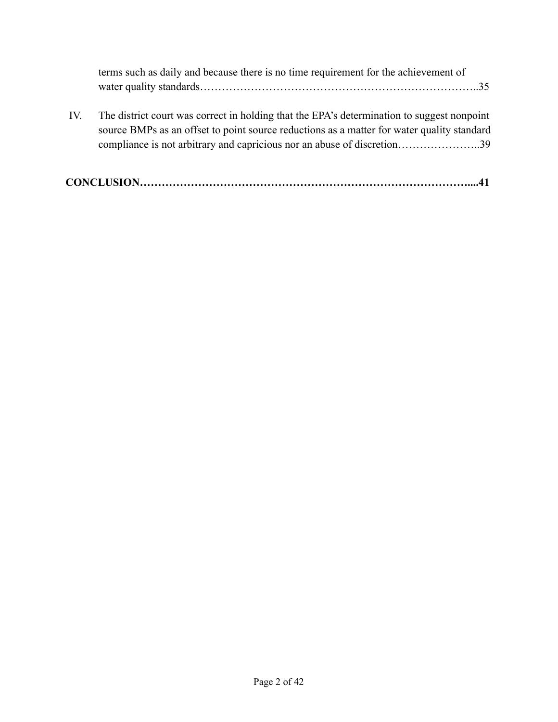| terms such as daily and because there is no time requirement for the achievement of |  |
|-------------------------------------------------------------------------------------|--|
|                                                                                     |  |

IV. The district court was correct in holding that the EPA's determination to suggest nonpoint source BMPs as an offset to point source reductions as a matter for water quality standard compliance is not arbitrary and capricious nor an abuse of discretion…………………..39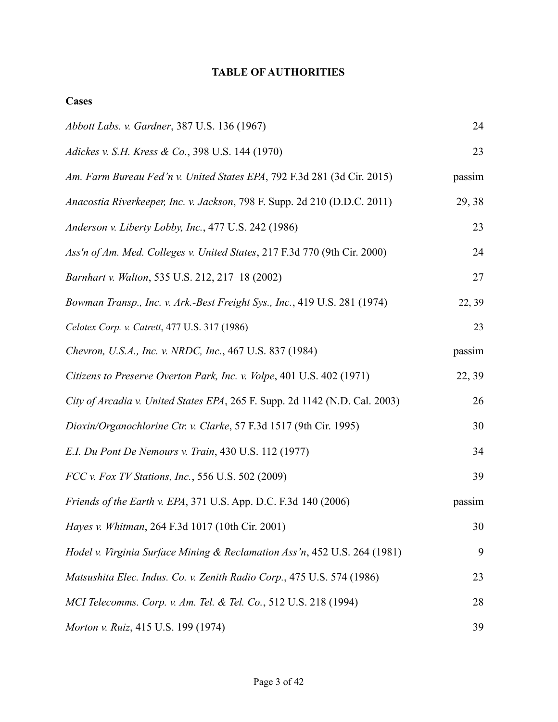# **TABLE OF AUTHORITIES**

| Abbott Labs. v. Gardner, 387 U.S. 136 (1967)                                | 24     |
|-----------------------------------------------------------------------------|--------|
| Adickes v. S.H. Kress & Co., 398 U.S. 144 (1970)                            | 23     |
| Am. Farm Bureau Fed'n v. United States EPA, 792 F.3d 281 (3d Cir. 2015)     | passim |
| Anacostia Riverkeeper, Inc. v. Jackson, 798 F. Supp. 2d 210 (D.D.C. 2011)   | 29, 38 |
| Anderson v. Liberty Lobby, Inc., 477 U.S. 242 (1986)                        | 23     |
| Ass'n of Am. Med. Colleges v. United States, 217 F.3d 770 (9th Cir. 2000)   | 24     |
| Barnhart v. Walton, 535 U.S. 212, 217-18 (2002)                             | 27     |
| Bowman Transp., Inc. v. Ark.-Best Freight Sys., Inc., 419 U.S. 281 (1974)   | 22, 39 |
| Celotex Corp. v. Catrett, 477 U.S. 317 (1986)                               | 23     |
| Chevron, U.S.A., Inc. v. NRDC, Inc., 467 U.S. 837 (1984)                    | passim |
| Citizens to Preserve Overton Park, Inc. v. Volpe, 401 U.S. 402 (1971)       | 22, 39 |
| City of Arcadia v. United States EPA, 265 F. Supp. 2d 1142 (N.D. Cal. 2003) | 26     |
| Dioxin/Organochlorine Ctr. v. Clarke, 57 F.3d 1517 (9th Cir. 1995)          | 30     |
| E.I. Du Pont De Nemours v. Train, 430 U.S. 112 (1977)                       | 34     |
| FCC v. Fox TV Stations, Inc., 556 U.S. 502 (2009)                           | 39     |
| Friends of the Earth v. EPA, 371 U.S. App. D.C. F.3d 140 (2006)             | passim |
| Hayes v. Whitman, 264 F.3d 1017 (10th Cir. 2001)                            | 30     |
| Hodel v. Virginia Surface Mining & Reclamation Ass'n, 452 U.S. 264 (1981)   | 9      |
| Matsushita Elec. Indus. Co. v. Zenith Radio Corp., 475 U.S. 574 (1986)      | 23     |
| MCI Telecomms. Corp. v. Am. Tel. & Tel. Co., 512 U.S. 218 (1994)            | 28     |
| Morton v. Ruiz, 415 U.S. 199 (1974)                                         | 39     |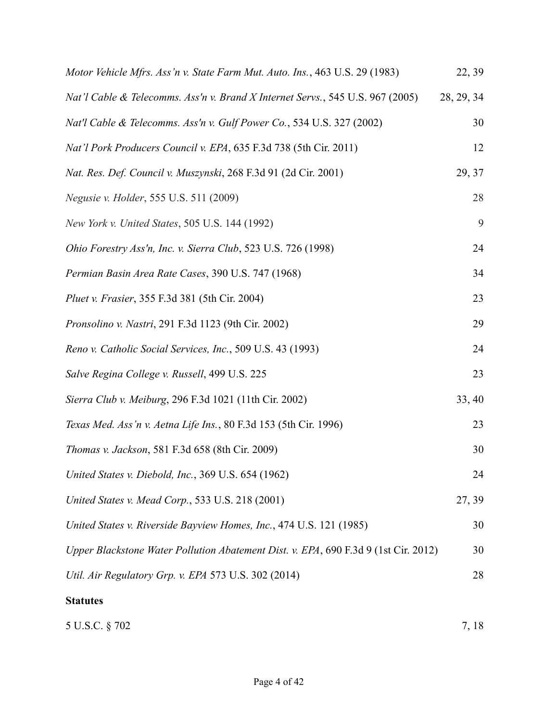| Motor Vehicle Mfrs. Ass'n v. State Farm Mut. Auto. Ins., 463 U.S. 29 (1983)         | 22, 39     |
|-------------------------------------------------------------------------------------|------------|
| Nat'l Cable & Telecomms. Ass'n v. Brand X Internet Servs., 545 U.S. 967 (2005)      | 28, 29, 34 |
| Nat'l Cable & Telecomms. Ass'n v. Gulf Power Co., 534 U.S. 327 (2002)               | 30         |
| Nat'l Pork Producers Council v. EPA, 635 F.3d 738 (5th Cir. 2011)                   | 12         |
| Nat. Res. Def. Council v. Muszynski, 268 F.3d 91 (2d Cir. 2001)                     | 29, 37     |
| Negusie v. Holder, 555 U.S. 511 (2009)                                              | 28         |
| New York v. United States, 505 U.S. 144 (1992)                                      | 9          |
| Ohio Forestry Ass'n, Inc. v. Sierra Club, 523 U.S. 726 (1998)                       | 24         |
| Permian Basin Area Rate Cases, 390 U.S. 747 (1968)                                  | 34         |
| Pluet v. Frasier, 355 F.3d 381 (5th Cir. 2004)                                      | 23         |
| Pronsolino v. Nastri, 291 F.3d 1123 (9th Cir. 2002)                                 | 29         |
| Reno v. Catholic Social Services, Inc., 509 U.S. 43 (1993)                          | 24         |
| Salve Regina College v. Russell, 499 U.S. 225                                       | 23         |
| Sierra Club v. Meiburg, 296 F.3d 1021 (11th Cir. 2002)                              | 33, 40     |
| Texas Med. Ass'n v. Aetna Life Ins., 80 F.3d 153 (5th Cir. 1996)                    | 23         |
| Thomas v. Jackson, 581 F.3d 658 (8th Cir. 2009)                                     | 30         |
| United States v. Diebold, Inc., 369 U.S. 654 (1962)                                 | 24         |
| United States v. Mead Corp., 533 U.S. 218 (2001)                                    | 27, 39     |
| United States v. Riverside Bayview Homes, Inc., 474 U.S. 121 (1985)                 | 30         |
| Upper Blackstone Water Pollution Abatement Dist. v. EPA, 690 F.3d 9 (1st Cir. 2012) | 30         |
| Util. Air Regulatory Grp. v. EPA 573 U.S. 302 (2014)                                | 28         |
| <b>Statutes</b>                                                                     |            |
| 5 U.S.C. § 702                                                                      | 7, 18      |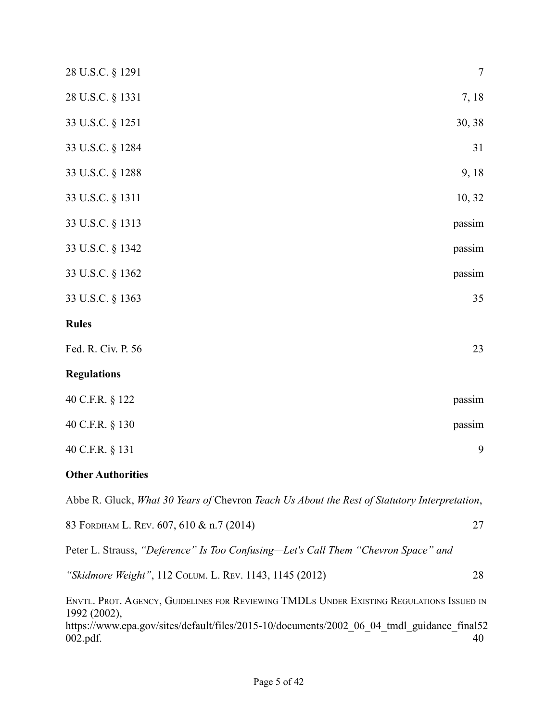| 28 U.S.C. § 1291                                                                                                                                                                                                      | $\overline{7}$ |
|-----------------------------------------------------------------------------------------------------------------------------------------------------------------------------------------------------------------------|----------------|
| 28 U.S.C. § 1331                                                                                                                                                                                                      | 7, 18          |
| 33 U.S.C. § 1251                                                                                                                                                                                                      | 30, 38         |
| 33 U.S.C. § 1284                                                                                                                                                                                                      | 31             |
| 33 U.S.C. § 1288                                                                                                                                                                                                      | 9,18           |
| 33 U.S.C. § 1311                                                                                                                                                                                                      | 10, 32         |
| 33 U.S.C. § 1313                                                                                                                                                                                                      | passim         |
| 33 U.S.C. § 1342                                                                                                                                                                                                      | passim         |
| 33 U.S.C. § 1362                                                                                                                                                                                                      | passim         |
| 33 U.S.C. § 1363                                                                                                                                                                                                      | 35             |
| <b>Rules</b>                                                                                                                                                                                                          |                |
| Fed. R. Civ. P. 56                                                                                                                                                                                                    | 23             |
| <b>Regulations</b>                                                                                                                                                                                                    |                |
| 40 C.F.R. § 122                                                                                                                                                                                                       | passim         |
| 40 C.F.R. § 130                                                                                                                                                                                                       | passim         |
| 40 C.F.R. § 131                                                                                                                                                                                                       | 9              |
| <b>Other Authorities</b>                                                                                                                                                                                              |                |
| Abbe R. Gluck, What 30 Years of Chevron Teach Us About the Rest of Statutory Interpretation,                                                                                                                          |                |
| 83 FORDHAM L. REV. 607, 610 & n.7 (2014)                                                                                                                                                                              | 27             |
| Peter L. Strauss, "Deference" Is Too Confusing—Let's Call Them "Chevron Space" and                                                                                                                                    |                |
| "Skidmore Weight", 112 COLUM. L. REV. 1143, 1145 (2012)                                                                                                                                                               | 28             |
| ENVTL. PROT. AGENCY, GUIDELINES FOR REVIEWING TMDLS UNDER EXISTING REGULATIONS ISSUED IN<br>1992 (2002),<br>https://www.epa.gov/sites/default/files/2015-10/documents/2002_06_04_tmdl_guidance_final52<br>$002.pdf$ . | 40             |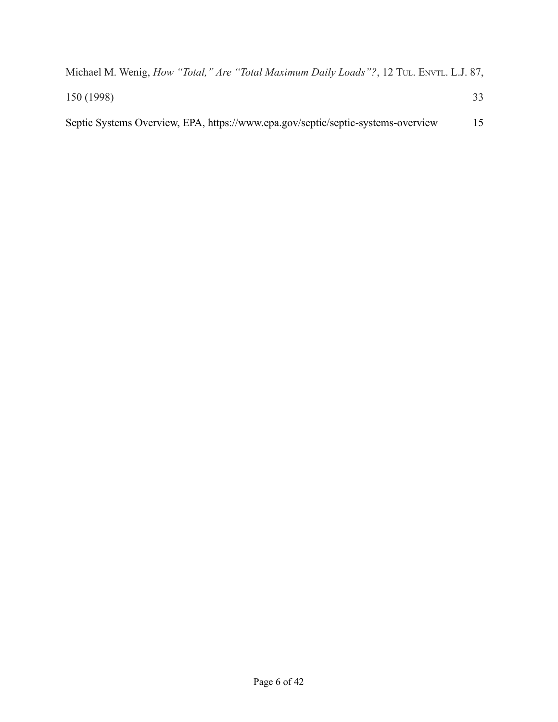| Michael M. Wenig, <i>How "Total," Are "Total Maximum Daily Loads"?</i> , 12 TuL. ENVIL. L.J. 87, |  |
|--------------------------------------------------------------------------------------------------|--|
| 150 (1998)                                                                                       |  |
| Septic Systems Overview, EPA, https://www.epa.gov/septic/septic-systems-overview                 |  |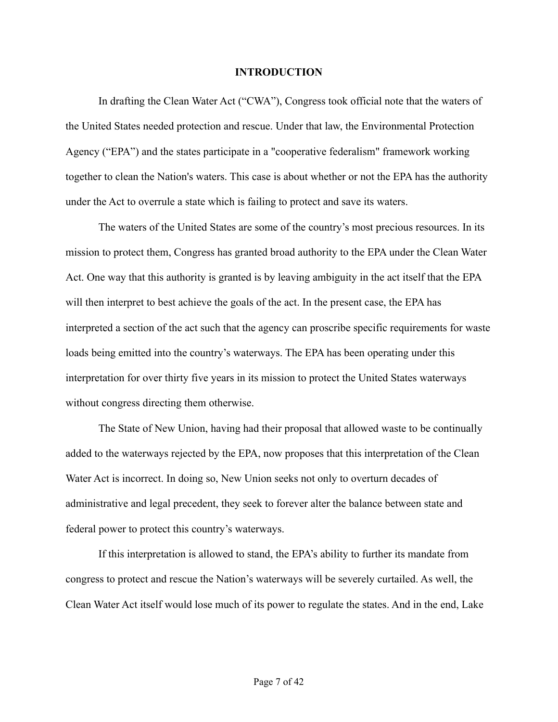#### **INTRODUCTION**

In drafting the Clean Water Act ("CWA"), Congress took official note that the waters of the United States needed protection and rescue. Under that law, the Environmental Protection Agency ("EPA") and the states participate in a "cooperative federalism" framework working together to clean the Nation's waters. This case is about whether or not the EPA has the authority under the Act to overrule a state which is failing to protect and save its waters.

The waters of the United States are some of the country's most precious resources. In its mission to protect them, Congress has granted broad authority to the EPA under the Clean Water Act. One way that this authority is granted is by leaving ambiguity in the act itself that the EPA will then interpret to best achieve the goals of the act. In the present case, the EPA has interpreted a section of the act such that the agency can proscribe specific requirements for waste loads being emitted into the country's waterways. The EPA has been operating under this interpretation for over thirty five years in its mission to protect the United States waterways without congress directing them otherwise.

The State of New Union, having had their proposal that allowed waste to be continually added to the waterways rejected by the EPA, now proposes that this interpretation of the Clean Water Act is incorrect. In doing so, New Union seeks not only to overturn decades of administrative and legal precedent, they seek to forever alter the balance between state and federal power to protect this country's waterways.

If this interpretation is allowed to stand, the EPA's ability to further its mandate from congress to protect and rescue the Nation's waterways will be severely curtailed. As well, the Clean Water Act itself would lose much of its power to regulate the states. And in the end, Lake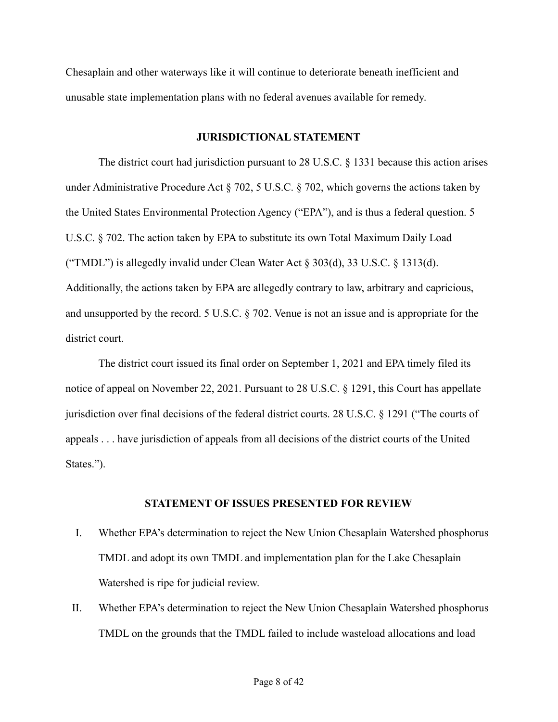Chesaplain and other waterways like it will continue to deteriorate beneath inefficient and unusable state implementation plans with no federal avenues available for remedy.

## **JURISDICTIONAL STATEMENT**

The district court had jurisdiction pursuant to 28 U.S.C. § 1331 because this action arises under Administrative Procedure Act § 702, 5 U.S.C. § 702, which governs the actions taken by the United States Environmental Protection Agency ("EPA"), and is thus a federal question. 5 U.S.C. § 702. The action taken by EPA to substitute its own Total Maximum Daily Load ("TMDL") is allegedly invalid under Clean Water Act  $\S 303(d)$ , 33 U.S.C.  $\S 1313(d)$ . Additionally, the actions taken by EPA are allegedly contrary to law, arbitrary and capricious, and unsupported by the record. 5 U.S.C. § 702. Venue is not an issue and is appropriate for the district court.

The district court issued its final order on September 1, 2021 and EPA timely filed its notice of appeal on November 22, 2021. Pursuant to 28 U.S.C. § 1291, this Court has appellate jurisdiction over final decisions of the federal district courts. 28 U.S.C. § 1291 ("The courts of appeals . . . have jurisdiction of appeals from all decisions of the district courts of the United States.").

## **STATEMENT OF ISSUES PRESENTED FOR REVIEW**

- I. Whether EPA's determination to reject the New Union Chesaplain Watershed phosphorus TMDL and adopt its own TMDL and implementation plan for the Lake Chesaplain Watershed is ripe for judicial review.
- II. Whether EPA's determination to reject the New Union Chesaplain Watershed phosphorus TMDL on the grounds that the TMDL failed to include wasteload allocations and load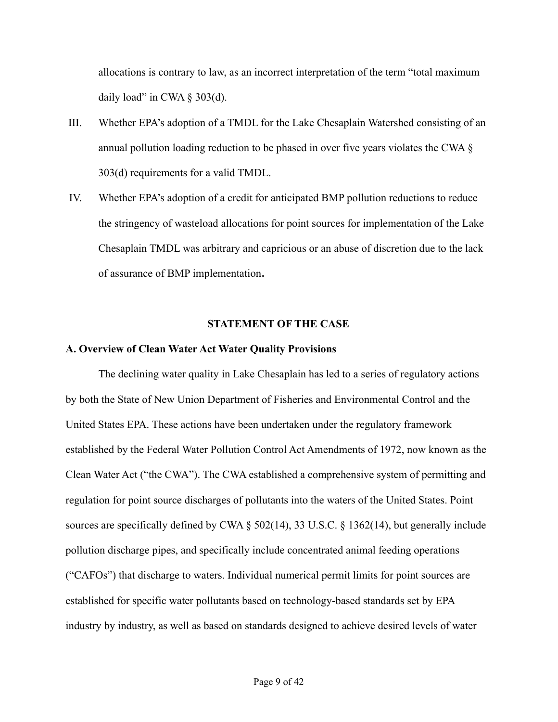allocations is contrary to law, as an incorrect interpretation of the term "total maximum daily load" in CWA  $\S$  303(d).

- III. Whether EPA's adoption of a TMDL for the Lake Chesaplain Watershed consisting of an annual pollution loading reduction to be phased in over five years violates the CWA § 303(d) requirements for a valid TMDL.
- IV. Whether EPA's adoption of a credit for anticipated BMP pollution reductions to reduce the stringency of wasteload allocations for point sources for implementation of the Lake Chesaplain TMDL was arbitrary and capricious or an abuse of discretion due to the lack of assurance of BMP implementation**.**

#### **STATEMENT OF THE CASE**

#### **A. Overview of Clean Water Act Water Quality Provisions**

The declining water quality in Lake Chesaplain has led to a series of regulatory actions by both the State of New Union Department of Fisheries and Environmental Control and the United States EPA. These actions have been undertaken under the regulatory framework established by the Federal Water Pollution Control Act Amendments of 1972, now known as the Clean Water Act ("the CWA"). The CWA established a comprehensive system of permitting and regulation for point source discharges of pollutants into the waters of the United States. Point sources are specifically defined by CWA § 502(14), 33 U.S.C. § 1362(14), but generally include pollution discharge pipes, and specifically include concentrated animal feeding operations ("CAFOs") that discharge to waters. Individual numerical permit limits for point sources are established for specific water pollutants based on technology-based standards set by EPA industry by industry, as well as based on standards designed to achieve desired levels of water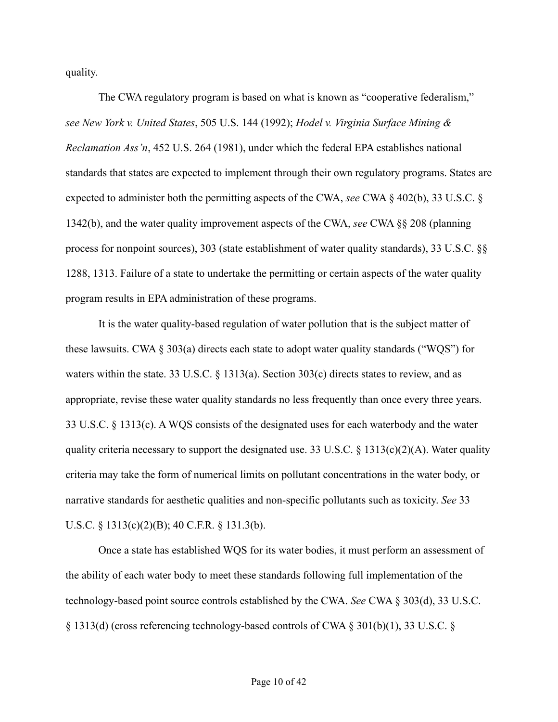quality.

The CWA regulatory program is based on what is known as "cooperative federalism," *see New York v. United States*, 505 U.S. 144 (1992); *Hodel v. Virginia Surface Mining & Reclamation Ass'n*, 452 U.S. 264 (1981), under which the federal EPA establishes national standards that states are expected to implement through their own regulatory programs. States are expected to administer both the permitting aspects of the CWA, *see* CWA § 402(b), 33 U.S.C. § 1342(b), and the water quality improvement aspects of the CWA, *see* CWA §§ 208 (planning process for nonpoint sources), 303 (state establishment of water quality standards), 33 U.S.C. §§ 1288, 1313. Failure of a state to undertake the permitting or certain aspects of the water quality program results in EPA administration of these programs.

It is the water quality-based regulation of water pollution that is the subject matter of these lawsuits. CWA  $\S 303(a)$  directs each state to adopt water quality standards ("WQS") for waters within the state. 33 U.S.C.  $\S$  1313(a). Section 303(c) directs states to review, and as appropriate, revise these water quality standards no less frequently than once every three years. 33 U.S.C. § 1313(c). A WQS consists of the designated uses for each waterbody and the water quality criteria necessary to support the designated use. 33 U.S.C. § 1313(c)(2)(A). Water quality criteria may take the form of numerical limits on pollutant concentrations in the water body, or narrative standards for aesthetic qualities and non-specific pollutants such as toxicity. *See* 33 U.S.C. § 1313(c)(2)(B); 40 C.F.R. § 131.3(b).

Once a state has established WQS for its water bodies, it must perform an assessment of the ability of each water body to meet these standards following full implementation of the technology-based point source controls established by the CWA. *See* CWA § 303(d), 33 U.S.C. § 1313(d) (cross referencing technology-based controls of CWA § 301(b)(1), 33 U.S.C. §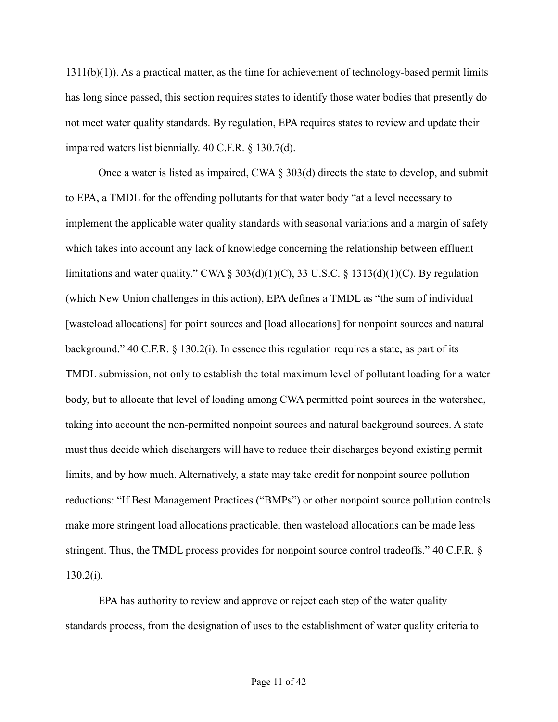1311(b)(1)). As a practical matter, as the time for achievement of technology-based permit limits has long since passed, this section requires states to identify those water bodies that presently do not meet water quality standards. By regulation, EPA requires states to review and update their impaired waters list biennially. 40 C.F.R. § 130.7(d).

Once a water is listed as impaired, CWA § 303(d) directs the state to develop, and submit to EPA, a TMDL for the offending pollutants for that water body "at a level necessary to implement the applicable water quality standards with seasonal variations and a margin of safety which takes into account any lack of knowledge concerning the relationship between effluent limitations and water quality." CWA § 303(d)(1)(C), 33 U.S.C. § 1313(d)(1)(C). By regulation (which New Union challenges in this action), EPA defines a TMDL as "the sum of individual [wasteload allocations] for point sources and [load allocations] for nonpoint sources and natural background." 40 C.F.R. § 130.2(i). In essence this regulation requires a state, as part of its TMDL submission, not only to establish the total maximum level of pollutant loading for a water body, but to allocate that level of loading among CWA permitted point sources in the watershed, taking into account the non-permitted nonpoint sources and natural background sources. A state must thus decide which dischargers will have to reduce their discharges beyond existing permit limits, and by how much. Alternatively, a state may take credit for nonpoint source pollution reductions: "If Best Management Practices ("BMPs") or other nonpoint source pollution controls make more stringent load allocations practicable, then wasteload allocations can be made less stringent. Thus, the TMDL process provides for nonpoint source control tradeoffs." 40 C.F.R. §  $130.2(i)$ .

EPA has authority to review and approve or reject each step of the water quality standards process, from the designation of uses to the establishment of water quality criteria to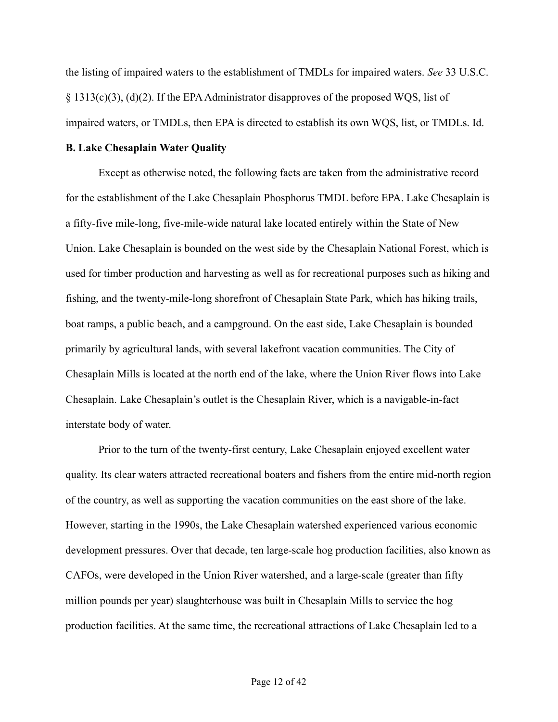the listing of impaired waters to the establishment of TMDLs for impaired waters. *See* 33 U.S.C.  $\S$  1313(c)(3), (d)(2). If the EPA Administrator disapproves of the proposed WQS, list of impaired waters, or TMDLs, then EPA is directed to establish its own WQS, list, or TMDLs. Id.

## **B. Lake Chesaplain Water Quality**

Except as otherwise noted, the following facts are taken from the administrative record for the establishment of the Lake Chesaplain Phosphorus TMDL before EPA. Lake Chesaplain is a fifty-five mile-long, five-mile-wide natural lake located entirely within the State of New Union. Lake Chesaplain is bounded on the west side by the Chesaplain National Forest, which is used for timber production and harvesting as well as for recreational purposes such as hiking and fishing, and the twenty-mile-long shorefront of Chesaplain State Park, which has hiking trails, boat ramps, a public beach, and a campground. On the east side, Lake Chesaplain is bounded primarily by agricultural lands, with several lakefront vacation communities. The City of Chesaplain Mills is located at the north end of the lake, where the Union River flows into Lake Chesaplain. Lake Chesaplain's outlet is the Chesaplain River, which is a navigable-in-fact interstate body of water.

Prior to the turn of the twenty-first century, Lake Chesaplain enjoyed excellent water quality. Its clear waters attracted recreational boaters and fishers from the entire mid-north region of the country, as well as supporting the vacation communities on the east shore of the lake. However, starting in the 1990s, the Lake Chesaplain watershed experienced various economic development pressures. Over that decade, ten large-scale hog production facilities, also known as CAFOs, were developed in the Union River watershed, and a large-scale (greater than fifty million pounds per year) slaughterhouse was built in Chesaplain Mills to service the hog production facilities. At the same time, the recreational attractions of Lake Chesaplain led to a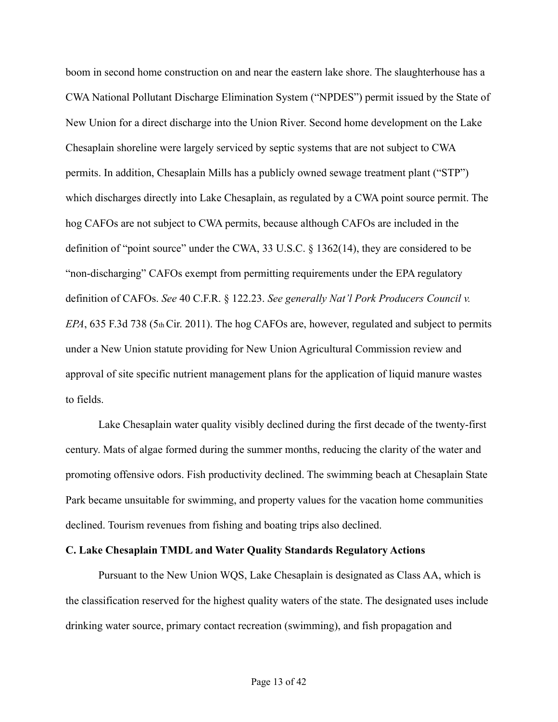boom in second home construction on and near the eastern lake shore. The slaughterhouse has a CWA National Pollutant Discharge Elimination System ("NPDES") permit issued by the State of New Union for a direct discharge into the Union River. Second home development on the Lake Chesaplain shoreline were largely serviced by septic systems that are not subject to CWA permits. In addition, Chesaplain Mills has a publicly owned sewage treatment plant ("STP") which discharges directly into Lake Chesaplain, as regulated by a CWA point source permit. The hog CAFOs are not subject to CWA permits, because although CAFOs are included in the definition of "point source" under the CWA, 33 U.S.C. § 1362(14), they are considered to be "non-discharging" CAFOs exempt from permitting requirements under the EPA regulatory definition of CAFOs. *See* 40 C.F.R. § 122.23. *See generally Nat'l Pork Producers Council v. EPA*, 635 F.3d 738 (5th Cir. 2011). The hog CAFOs are, however, regulated and subject to permits under a New Union statute providing for New Union Agricultural Commission review and approval of site specific nutrient management plans for the application of liquid manure wastes to fields.

Lake Chesaplain water quality visibly declined during the first decade of the twenty-first century. Mats of algae formed during the summer months, reducing the clarity of the water and promoting offensive odors. Fish productivity declined. The swimming beach at Chesaplain State Park became unsuitable for swimming, and property values for the vacation home communities declined. Tourism revenues from fishing and boating trips also declined.

## **C. Lake Chesaplain TMDL and Water Quality Standards Regulatory Actions**

Pursuant to the New Union WQS, Lake Chesaplain is designated as Class AA, which is the classification reserved for the highest quality waters of the state. The designated uses include drinking water source, primary contact recreation (swimming), and fish propagation and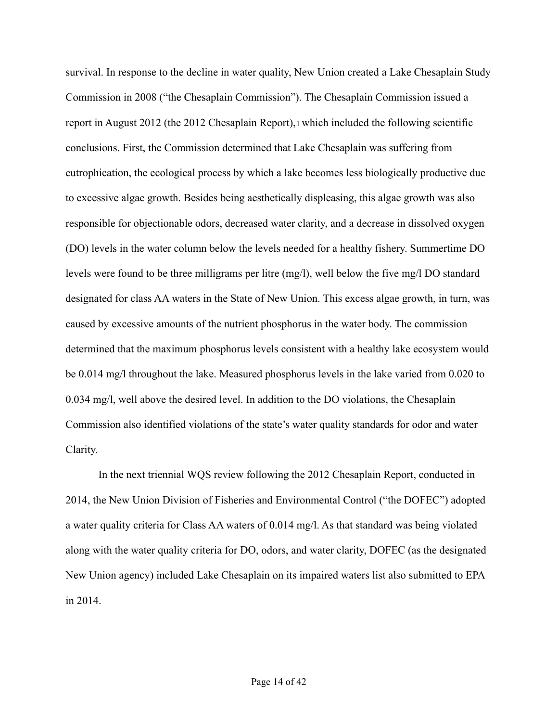survival. In response to the decline in water quality, New Union created a Lake Chesaplain Study Commission in 2008 ("the Chesaplain Commission"). The Chesaplain Commission issued a report in August 2012 (the 2012 Chesaplain Report),<sup>1</sup> which included the following scientific conclusions. First, the Commission determined that Lake Chesaplain was suffering from eutrophication, the ecological process by which a lake becomes less biologically productive due to excessive algae growth. Besides being aesthetically displeasing, this algae growth was also responsible for objectionable odors, decreased water clarity, and a decrease in dissolved oxygen (DO) levels in the water column below the levels needed for a healthy fishery. Summertime DO levels were found to be three milligrams per litre (mg/l), well below the five mg/l DO standard designated for class AA waters in the State of New Union. This excess algae growth, in turn, was caused by excessive amounts of the nutrient phosphorus in the water body. The commission determined that the maximum phosphorus levels consistent with a healthy lake ecosystem would be 0.014 mg/l throughout the lake. Measured phosphorus levels in the lake varied from 0.020 to 0.034 mg/l, well above the desired level. In addition to the DO violations, the Chesaplain Commission also identified violations of the state's water quality standards for odor and water Clarity.

In the next triennial WQS review following the 2012 Chesaplain Report, conducted in 2014, the New Union Division of Fisheries and Environmental Control ("the DOFEC") adopted a water quality criteria for Class AA waters of 0.014 mg/l. As that standard was being violated along with the water quality criteria for DO, odors, and water clarity, DOFEC (as the designated New Union agency) included Lake Chesaplain on its impaired waters list also submitted to EPA in 2014.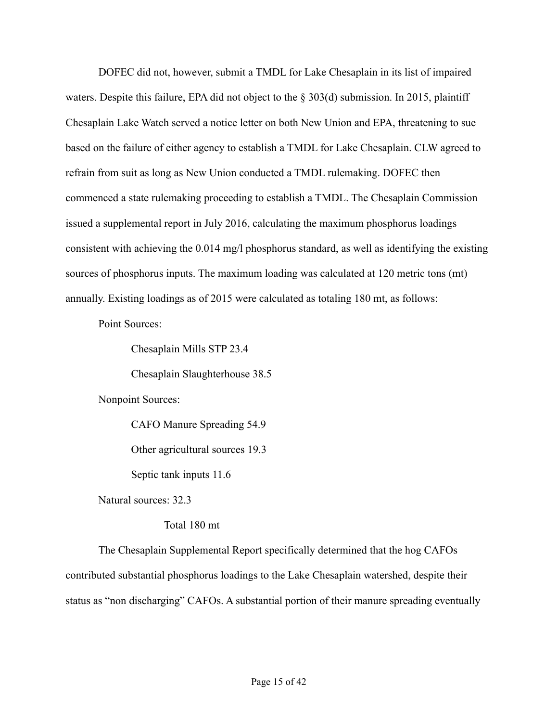DOFEC did not, however, submit a TMDL for Lake Chesaplain in its list of impaired waters. Despite this failure, EPA did not object to the § 303(d) submission. In 2015, plaintiff Chesaplain Lake Watch served a notice letter on both New Union and EPA, threatening to sue based on the failure of either agency to establish a TMDL for Lake Chesaplain. CLW agreed to refrain from suit as long as New Union conducted a TMDL rulemaking. DOFEC then commenced a state rulemaking proceeding to establish a TMDL. The Chesaplain Commission issued a supplemental report in July 2016, calculating the maximum phosphorus loadings consistent with achieving the 0.014 mg/l phosphorus standard, as well as identifying the existing sources of phosphorus inputs. The maximum loading was calculated at 120 metric tons (mt) annually. Existing loadings as of 2015 were calculated as totaling 180 mt, as follows:

Point Sources:

Chesaplain Mills STP 23.4

Chesaplain Slaughterhouse 38.5

Nonpoint Sources:

CAFO Manure Spreading 54.9

Other agricultural sources 19.3

Septic tank inputs 11.6

Natural sources: 32.3

Total 180 mt

The Chesaplain Supplemental Report specifically determined that the hog CAFOs contributed substantial phosphorus loadings to the Lake Chesaplain watershed, despite their status as "non discharging" CAFOs. A substantial portion of their manure spreading eventually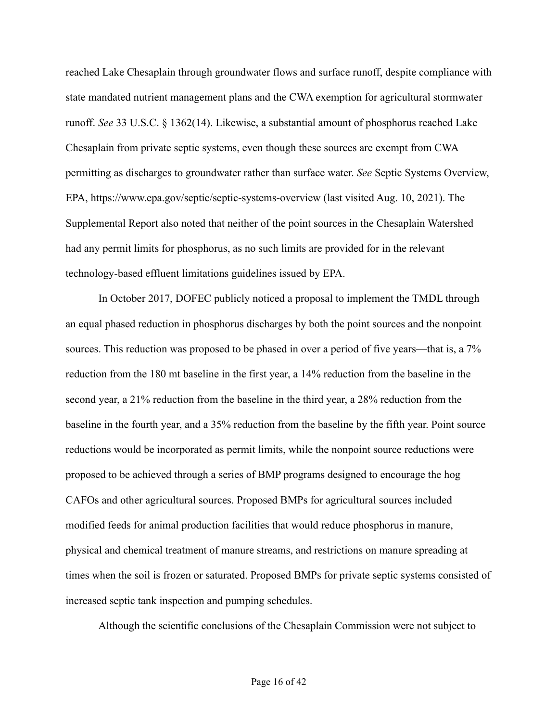reached Lake Chesaplain through groundwater flows and surface runoff, despite compliance with state mandated nutrient management plans and the CWA exemption for agricultural stormwater runoff. *See* 33 U.S.C. § 1362(14). Likewise, a substantial amount of phosphorus reached Lake Chesaplain from private septic systems, even though these sources are exempt from CWA permitting as discharges to groundwater rather than surface water. *See* Septic Systems Overview, EPA, https://www.epa.gov/septic/septic-systems-overview (last visited Aug. 10, 2021). The Supplemental Report also noted that neither of the point sources in the Chesaplain Watershed had any permit limits for phosphorus, as no such limits are provided for in the relevant technology-based effluent limitations guidelines issued by EPA.

In October 2017, DOFEC publicly noticed a proposal to implement the TMDL through an equal phased reduction in phosphorus discharges by both the point sources and the nonpoint sources. This reduction was proposed to be phased in over a period of five years—that is, a 7% reduction from the 180 mt baseline in the first year, a 14% reduction from the baseline in the second year, a 21% reduction from the baseline in the third year, a 28% reduction from the baseline in the fourth year, and a 35% reduction from the baseline by the fifth year. Point source reductions would be incorporated as permit limits, while the nonpoint source reductions were proposed to be achieved through a series of BMP programs designed to encourage the hog CAFOs and other agricultural sources. Proposed BMPs for agricultural sources included modified feeds for animal production facilities that would reduce phosphorus in manure, physical and chemical treatment of manure streams, and restrictions on manure spreading at times when the soil is frozen or saturated. Proposed BMPs for private septic systems consisted of increased septic tank inspection and pumping schedules.

Although the scientific conclusions of the Chesaplain Commission were not subject to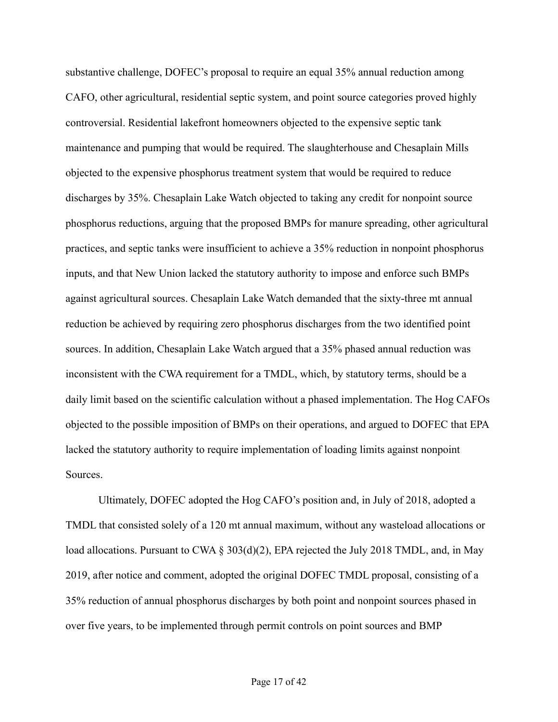substantive challenge, DOFEC's proposal to require an equal 35% annual reduction among CAFO, other agricultural, residential septic system, and point source categories proved highly controversial. Residential lakefront homeowners objected to the expensive septic tank maintenance and pumping that would be required. The slaughterhouse and Chesaplain Mills objected to the expensive phosphorus treatment system that would be required to reduce discharges by 35%. Chesaplain Lake Watch objected to taking any credit for nonpoint source phosphorus reductions, arguing that the proposed BMPs for manure spreading, other agricultural practices, and septic tanks were insufficient to achieve a 35% reduction in nonpoint phosphorus inputs, and that New Union lacked the statutory authority to impose and enforce such BMPs against agricultural sources. Chesaplain Lake Watch demanded that the sixty-three mt annual reduction be achieved by requiring zero phosphorus discharges from the two identified point sources. In addition, Chesaplain Lake Watch argued that a 35% phased annual reduction was inconsistent with the CWA requirement for a TMDL, which, by statutory terms, should be a daily limit based on the scientific calculation without a phased implementation. The Hog CAFOs objected to the possible imposition of BMPs on their operations, and argued to DOFEC that EPA lacked the statutory authority to require implementation of loading limits against nonpoint Sources.

Ultimately, DOFEC adopted the Hog CAFO's position and, in July of 2018, adopted a TMDL that consisted solely of a 120 mt annual maximum, without any wasteload allocations or load allocations. Pursuant to CWA § 303(d)(2), EPA rejected the July 2018 TMDL, and, in May 2019, after notice and comment, adopted the original DOFEC TMDL proposal, consisting of a 35% reduction of annual phosphorus discharges by both point and nonpoint sources phased in over five years, to be implemented through permit controls on point sources and BMP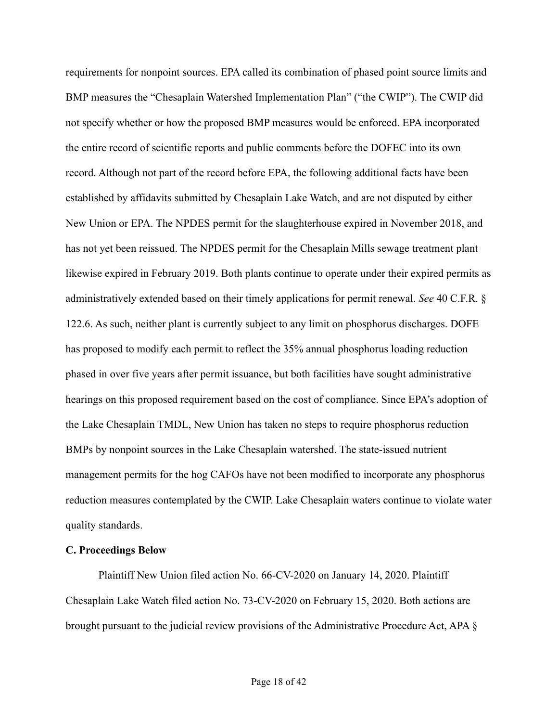requirements for nonpoint sources. EPA called its combination of phased point source limits and BMP measures the "Chesaplain Watershed Implementation Plan" ("the CWIP"). The CWIP did not specify whether or how the proposed BMP measures would be enforced. EPA incorporated the entire record of scientific reports and public comments before the DOFEC into its own record. Although not part of the record before EPA, the following additional facts have been established by affidavits submitted by Chesaplain Lake Watch, and are not disputed by either New Union or EPA. The NPDES permit for the slaughterhouse expired in November 2018, and has not yet been reissued. The NPDES permit for the Chesaplain Mills sewage treatment plant likewise expired in February 2019. Both plants continue to operate under their expired permits as administratively extended based on their timely applications for permit renewal. *See* 40 C.F.R. § 122.6. As such, neither plant is currently subject to any limit on phosphorus discharges. DOFE has proposed to modify each permit to reflect the 35% annual phosphorus loading reduction phased in over five years after permit issuance, but both facilities have sought administrative hearings on this proposed requirement based on the cost of compliance. Since EPA's adoption of the Lake Chesaplain TMDL, New Union has taken no steps to require phosphorus reduction BMPs by nonpoint sources in the Lake Chesaplain watershed. The state-issued nutrient management permits for the hog CAFOs have not been modified to incorporate any phosphorus reduction measures contemplated by the CWIP. Lake Chesaplain waters continue to violate water quality standards.

#### **C. Proceedings Below**

Plaintiff New Union filed action No. 66-CV-2020 on January 14, 2020. Plaintiff Chesaplain Lake Watch filed action No. 73-CV-2020 on February 15, 2020. Both actions are brought pursuant to the judicial review provisions of the Administrative Procedure Act, APA §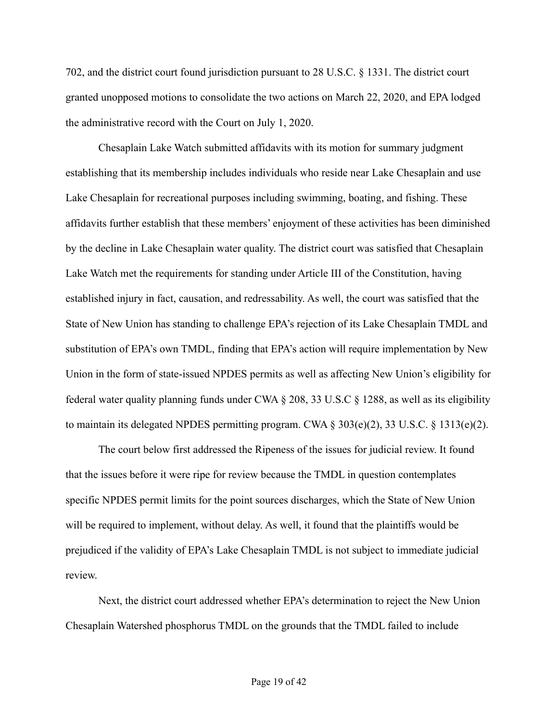702, and the district court found jurisdiction pursuant to 28 U.S.C. § 1331. The district court granted unopposed motions to consolidate the two actions on March 22, 2020, and EPA lodged the administrative record with the Court on July 1, 2020.

Chesaplain Lake Watch submitted affidavits with its motion for summary judgment establishing that its membership includes individuals who reside near Lake Chesaplain and use Lake Chesaplain for recreational purposes including swimming, boating, and fishing. These affidavits further establish that these members' enjoyment of these activities has been diminished by the decline in Lake Chesaplain water quality. The district court was satisfied that Chesaplain Lake Watch met the requirements for standing under Article III of the Constitution, having established injury in fact, causation, and redressability. As well, the court was satisfied that the State of New Union has standing to challenge EPA's rejection of its Lake Chesaplain TMDL and substitution of EPA's own TMDL, finding that EPA's action will require implementation by New Union in the form of state-issued NPDES permits as well as affecting New Union's eligibility for federal water quality planning funds under CWA § 208, 33 U.S.C § 1288, as well as its eligibility to maintain its delegated NPDES permitting program. CWA § 303(e)(2), 33 U.S.C. § 1313(e)(2).

The court below first addressed the Ripeness of the issues for judicial review. It found that the issues before it were ripe for review because the TMDL in question contemplates specific NPDES permit limits for the point sources discharges, which the State of New Union will be required to implement, without delay. As well, it found that the plaintiffs would be prejudiced if the validity of EPA's Lake Chesaplain TMDL is not subject to immediate judicial review.

Next, the district court addressed whether EPA's determination to reject the New Union Chesaplain Watershed phosphorus TMDL on the grounds that the TMDL failed to include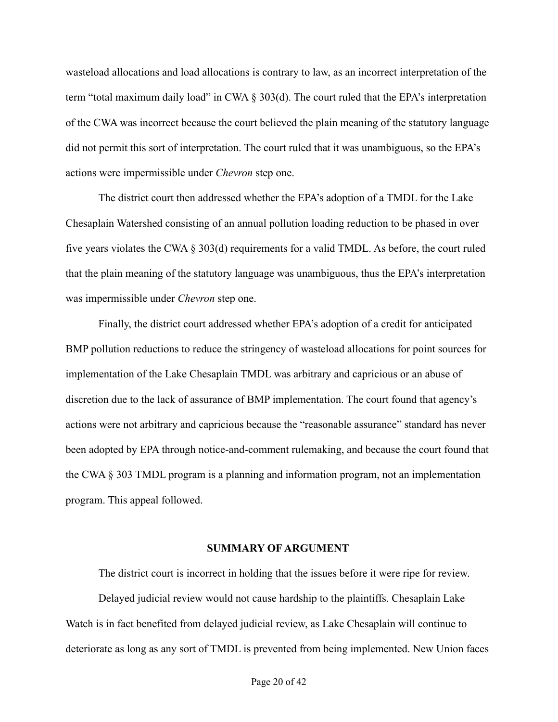wasteload allocations and load allocations is contrary to law, as an incorrect interpretation of the term "total maximum daily load" in CWA § 303(d). The court ruled that the EPA's interpretation of the CWA was incorrect because the court believed the plain meaning of the statutory language did not permit this sort of interpretation. The court ruled that it was unambiguous, so the EPA's actions were impermissible under *Chevron* step one.

The district court then addressed whether the EPA's adoption of a TMDL for the Lake Chesaplain Watershed consisting of an annual pollution loading reduction to be phased in over five years violates the CWA  $\S 303(d)$  requirements for a valid TMDL. As before, the court ruled that the plain meaning of the statutory language was unambiguous, thus the EPA's interpretation was impermissible under *Chevron* step one.

Finally, the district court addressed whether EPA's adoption of a credit for anticipated BMP pollution reductions to reduce the stringency of wasteload allocations for point sources for implementation of the Lake Chesaplain TMDL was arbitrary and capricious or an abuse of discretion due to the lack of assurance of BMP implementation. The court found that agency's actions were not arbitrary and capricious because the "reasonable assurance" standard has never been adopted by EPA through notice-and-comment rulemaking, and because the court found that the CWA § 303 TMDL program is a planning and information program, not an implementation program. This appeal followed.

#### **SUMMARY OF ARGUMENT**

The district court is incorrect in holding that the issues before it were ripe for review.

Delayed judicial review would not cause hardship to the plaintiffs. Chesaplain Lake Watch is in fact benefited from delayed judicial review, as Lake Chesaplain will continue to deteriorate as long as any sort of TMDL is prevented from being implemented. New Union faces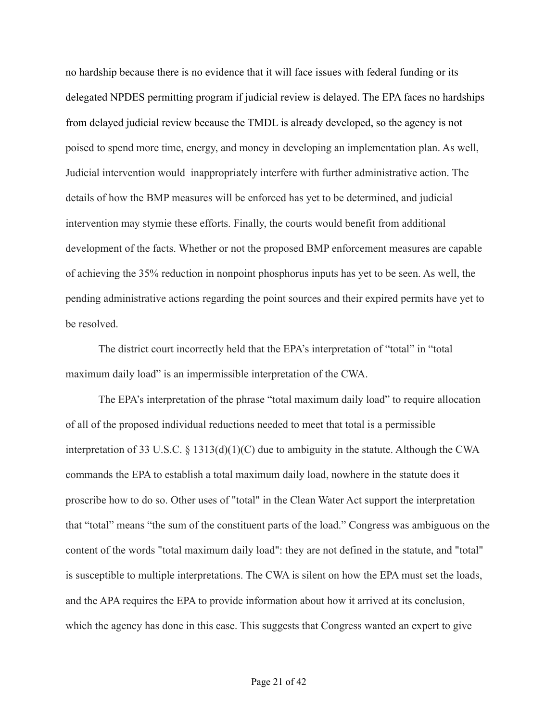no hardship because there is no evidence that it will face issues with federal funding or its delegated NPDES permitting program if judicial review is delayed. The EPA faces no hardships from delayed judicial review because the TMDL is already developed, so the agency is not poised to spend more time, energy, and money in developing an implementation plan. As well, Judicial intervention would inappropriately interfere with further administrative action. The details of how the BMP measures will be enforced has yet to be determined, and judicial intervention may stymie these efforts. Finally, the courts would benefit from additional development of the facts. Whether or not the proposed BMP enforcement measures are capable of achieving the 35% reduction in nonpoint phosphorus inputs has yet to be seen. As well, the pending administrative actions regarding the point sources and their expired permits have yet to be resolved.

The district court incorrectly held that the EPA's interpretation of "total" in "total maximum daily load" is an impermissible interpretation of the CWA.

The EPA's interpretation of the phrase "total maximum daily load" to require allocation of all of the proposed individual reductions needed to meet that total is a permissible interpretation of 33 U.S.C. § 1313(d)(1)(C) due to ambiguity in the statute. Although the CWA commands the EPA to establish a total maximum daily load, nowhere in the statute does it proscribe how to do so. Other uses of "total" in the Clean Water Act support the interpretation that "total" means "the sum of the constituent parts of the load." Congress was ambiguous on the content of the words "total maximum daily load": they are not defined in the statute, and "total" is susceptible to multiple interpretations. The CWA is silent on how the EPA must set the loads, and the APA requires the EPA to provide information about how it arrived at its conclusion, which the agency has done in this case. This suggests that Congress wanted an expert to give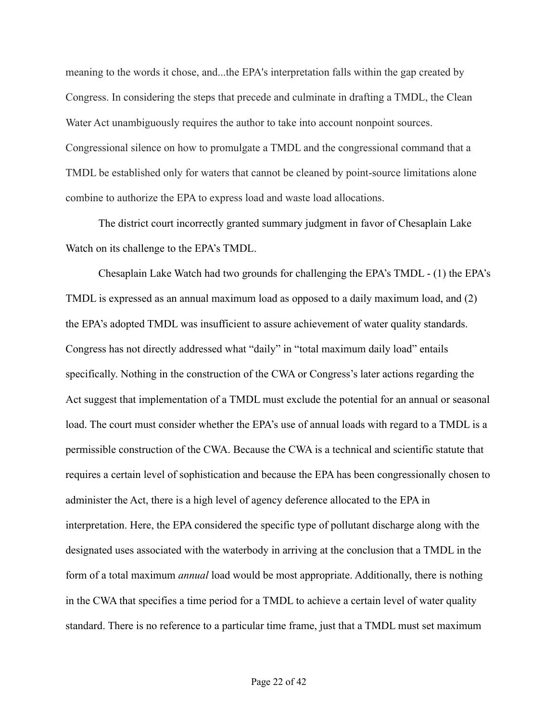meaning to the words it chose, and...the EPA's interpretation falls within the gap created by Congress. In considering the steps that precede and culminate in drafting a TMDL, the Clean Water Act unambiguously requires the author to take into account nonpoint sources. Congressional silence on how to promulgate a TMDL and the congressional command that a TMDL be established only for waters that cannot be cleaned by point-source limitations alone combine to authorize the EPA to express load and waste load allocations.

The district court incorrectly granted summary judgment in favor of Chesaplain Lake Watch on its challenge to the EPA's TMDL.

Chesaplain Lake Watch had two grounds for challenging the EPA's TMDL - (1) the EPA's TMDL is expressed as an annual maximum load as opposed to a daily maximum load, and (2) the EPA's adopted TMDL was insufficient to assure achievement of water quality standards. Congress has not directly addressed what "daily" in "total maximum daily load" entails specifically. Nothing in the construction of the CWA or Congress's later actions regarding the Act suggest that implementation of a TMDL must exclude the potential for an annual or seasonal load. The court must consider whether the EPA's use of annual loads with regard to a TMDL is a permissible construction of the CWA. Because the CWA is a technical and scientific statute that requires a certain level of sophistication and because the EPA has been congressionally chosen to administer the Act, there is a high level of agency deference allocated to the EPA in interpretation. Here, the EPA considered the specific type of pollutant discharge along with the designated uses associated with the waterbody in arriving at the conclusion that a TMDL in the form of a total maximum *annual* load would be most appropriate. Additionally, there is nothing in the CWA that specifies a time period for a TMDL to achieve a certain level of water quality standard. There is no reference to a particular time frame, just that a TMDL must set maximum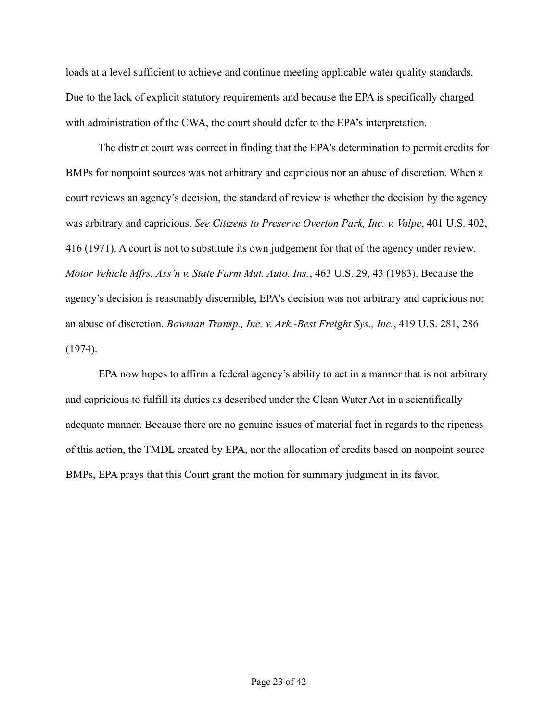loads at a level sufficient to achieve and continue meeting applicable water quality standards. Due to the lack of explicit statutory requirements and because the EPA is specifically charged with administration of the CWA, the court should defer to the EPA's interpretation.

The district court was correct in finding that the EPA's determination to permit credits for BMPs for nonpoint sources was not arbitrary and capricious nor an abuse of discretion. When a court reviews an agency's decision, the standard of review is whether the decision by the agency was arbitrary and capricious. *See Citizens to Preserve Overton Park, Inc. v. Volpe*, 401 U.S. 402, 416 (1971). A court is not to substitute its own judgement for that of the agency under review. *Motor Vehicle Mfrs. Ass'n v. State Farm Mut. Auto. Ins.*, 463 U.S. 29, 43 (1983). Because the agency's decision is reasonably discernible, EPA's decision was not arbitrary and capricious nor an abuse of discretion. *Bowman Transp., Inc. v. Ark.-Best Freight Sys., Inc.*, 419 U.S. 281, 286 (1974).

EPA now hopes to affirm a federal agency's ability to act in a manner that is not arbitrary and capricious to fulfill its duties as described under the Clean Water Act in a scientifically adequate manner. Because there are no genuine issues of material fact in regards to the ripeness of this action, the TMDL created by EPA, nor the allocation of credits based on nonpoint source BMPs, EPA prays that this Court grant the motion for summary judgment in its favor.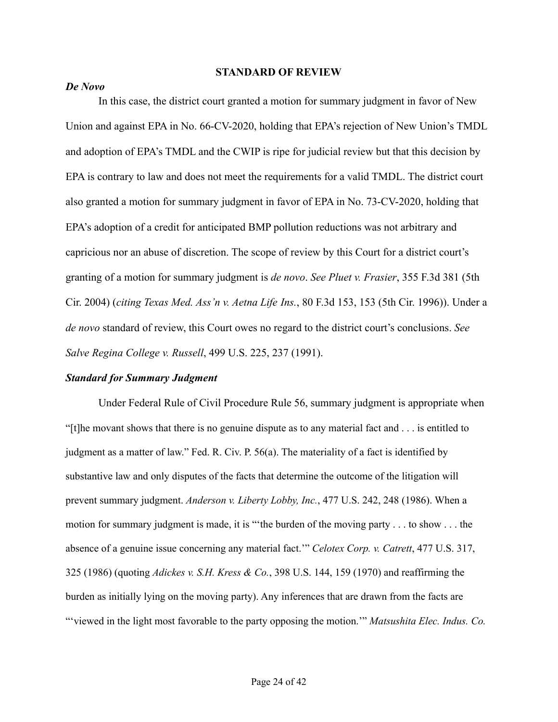#### **STANDARD OF REVIEW**

## *De Novo*

In this case, the district court granted a motion for summary judgment in favor of New Union and against EPA in No. 66-CV-2020, holding that EPA's rejection of New Union's TMDL and adoption of EPA's TMDL and the CWIP is ripe for judicial review but that this decision by EPA is contrary to law and does not meet the requirements for a valid TMDL. The district court also granted a motion for summary judgment in favor of EPA in No. 73-CV-2020, holding that EPA's adoption of a credit for anticipated BMP pollution reductions was not arbitrary and capricious nor an abuse of discretion. The scope of review by this Court for a district court's granting of a motion for summary judgment is *de novo*. *See Pluet v. Frasier*, 355 F.3d 381 (5th Cir. 2004) (*citing Texas Med. Ass'n v. Aetna Life Ins.*, 80 F.3d 153, 153 (5th Cir. 1996)). Under a *de novo* standard of review, this Court owes no regard to the district court's conclusions. *See Salve Regina College v. Russell*, 499 U.S. 225, 237 (1991).

#### *Standard for Summary Judgment*

Under Federal Rule of Civil Procedure Rule 56, summary judgment is appropriate when "[t]he movant shows that there is no genuine dispute as to any material fact and . . . is entitled to judgment as a matter of law." Fed. R. Civ. P. 56(a). The materiality of a fact is identified by substantive law and only disputes of the facts that determine the outcome of the litigation will prevent summary judgment. *Anderson v. Liberty Lobby, Inc.*, 477 U.S. 242, 248 (1986). When a motion for summary judgment is made, it is "'the burden of the moving party . . . to show . . . the absence of a genuine issue concerning any material fact.'" *Celotex Corp. v. Catrett*, 477 U.S. 317, 325 (1986) (quoting *Adickes v. S.H. Kress & Co.*, 398 U.S. 144, 159 (1970) and reaffirming the burden as initially lying on the moving party). Any inferences that are drawn from the facts are "'viewed in the light most favorable to the party opposing the motion.'" *Matsushita Elec. Indus. Co.*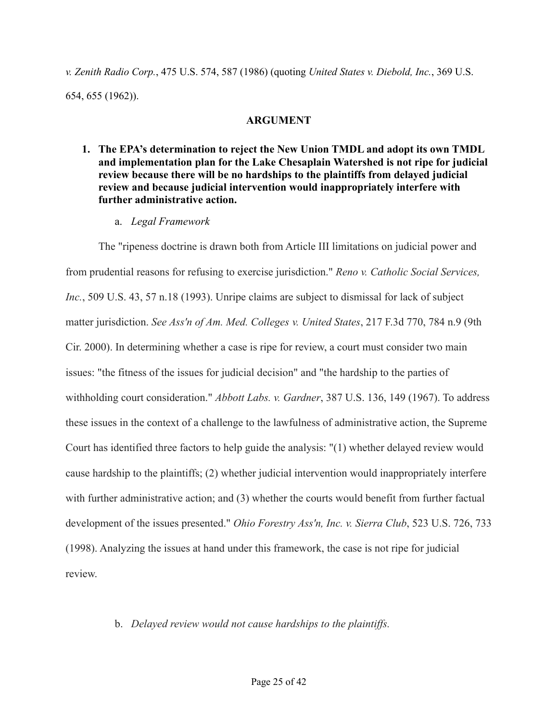*v. Zenith Radio Corp.*, 475 U.S. 574, 587 (1986) (quoting *United States v. Diebold, Inc.*, 369 U.S. 654, 655 (1962)).

## **ARGUMENT**

- **1. The EPA's determination to reject the New Union TMDL and adopt its own TMDL and implementation plan for the Lake Chesaplain Watershed is not ripe for judicial review because there will be no hardships to the plaintiffs from delayed judicial review and because judicial intervention would inappropriately interfere with further administrative action.**
	- a. *Legal Framework*

The "ripeness doctrine is drawn both from Article III limitations on judicial power and from prudential reasons for refusing to exercise jurisdiction." *Reno v. Catholic Social Services, Inc.*, 509 U.S. 43, 57 n.18 (1993). Unripe claims are subject to dismissal for lack of subject matter jurisdiction. *See Ass'n of Am. Med. Colleges v. United States*, 217 F.3d 770, 784 n.9 (9th Cir. 2000). In determining whether a case is ripe for review, a court must consider two main issues: "the fitness of the issues for judicial decision" and "the hardship to the parties of withholding court consideration." *Abbott Labs. v. Gardner*, 387 U.S. 136, 149 (1967). To address these issues in the context of a challenge to the lawfulness of administrative action, the Supreme Court has identified three factors to help guide the analysis: "(1) whether delayed review would cause hardship to the plaintiffs; (2) whether judicial intervention would inappropriately interfere with further administrative action; and (3) whether the courts would benefit from further factual development of the issues presented." *Ohio Forestry Ass'n, Inc. v. Sierra Club*, 523 U.S. 726, 733 (1998). Analyzing the issues at hand under this framework, the case is not ripe for judicial review.

## b. *Delayed review would not cause hardships to the plaintiffs.*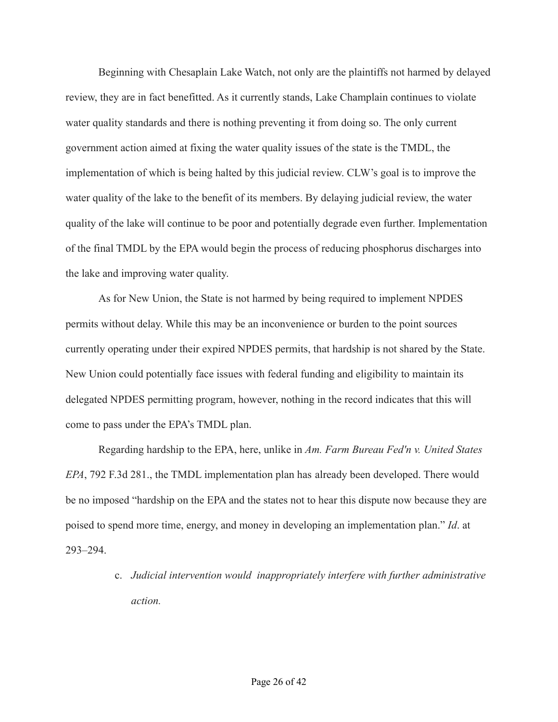Beginning with Chesaplain Lake Watch, not only are the plaintiffs not harmed by delayed review, they are in fact benefitted. As it currently stands, Lake Champlain continues to violate water quality standards and there is nothing preventing it from doing so. The only current government action aimed at fixing the water quality issues of the state is the TMDL, the implementation of which is being halted by this judicial review. CLW's goal is to improve the water quality of the lake to the benefit of its members. By delaying judicial review, the water quality of the lake will continue to be poor and potentially degrade even further. Implementation of the final TMDL by the EPA would begin the process of reducing phosphorus discharges into the lake and improving water quality.

As for New Union, the State is not harmed by being required to implement NPDES permits without delay. While this may be an inconvenience or burden to the point sources currently operating under their expired NPDES permits, that hardship is not shared by the State. New Union could potentially face issues with federal funding and eligibility to maintain its delegated NPDES permitting program, however, nothing in the record indicates that this will come to pass under the EPA's TMDL plan.

Regarding hardship to the EPA, here, unlike in *Am. Farm Bureau Fed'n v. United States EPA*, 792 F.3d 281., the TMDL implementation plan has already been developed. There would be no imposed "hardship on the EPA and the states not to hear this dispute now because they are poised to spend more time, energy, and money in developing an implementation plan." *Id*. at 293–294.

> c. *Judicial intervention would inappropriately interfere with further administrative action.*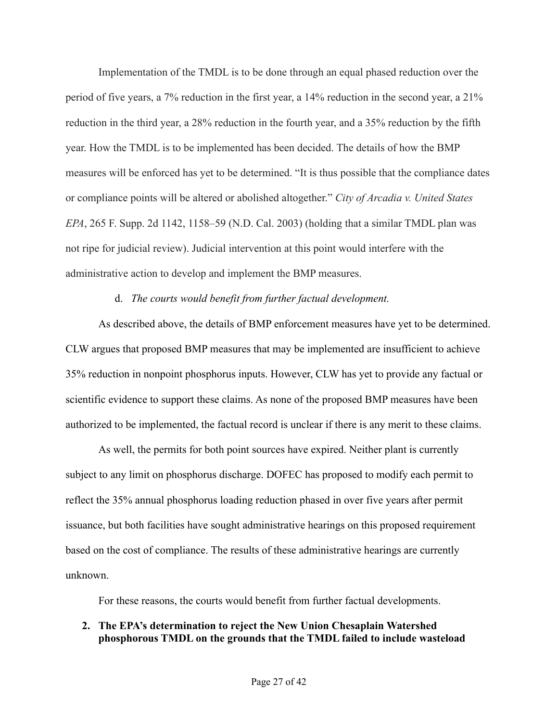Implementation of the TMDL is to be done through an equal phased reduction over the period of five years, a 7% reduction in the first year, a 14% reduction in the second year, a 21% reduction in the third year, a 28% reduction in the fourth year, and a 35% reduction by the fifth year. How the TMDL is to be implemented has been decided. The details of how the BMP measures will be enforced has yet to be determined. "It is thus possible that the compliance dates or compliance points will be altered or abolished altogether." *City of Arcadia v. United States EPA*, 265 F. Supp. 2d 1142, 1158–59 (N.D. Cal. 2003) (holding that a similar TMDL plan was not ripe for judicial review). Judicial intervention at this point would interfere with the administrative action to develop and implement the BMP measures.

## d. *The courts would benefit from further factual development.*

As described above, the details of BMP enforcement measures have yet to be determined. CLW argues that proposed BMP measures that may be implemented are insufficient to achieve 35% reduction in nonpoint phosphorus inputs. However, CLW has yet to provide any factual or scientific evidence to support these claims. As none of the proposed BMP measures have been authorized to be implemented, the factual record is unclear if there is any merit to these claims.

As well, the permits for both point sources have expired. Neither plant is currently subject to any limit on phosphorus discharge. DOFEC has proposed to modify each permit to reflect the 35% annual phosphorus loading reduction phased in over five years after permit issuance, but both facilities have sought administrative hearings on this proposed requirement based on the cost of compliance. The results of these administrative hearings are currently unknown.

For these reasons, the courts would benefit from further factual developments.

# **2. The EPA's determination to reject the New Union Chesaplain Watershed phosphorous TMDL on the grounds that the TMDL failed to include wasteload**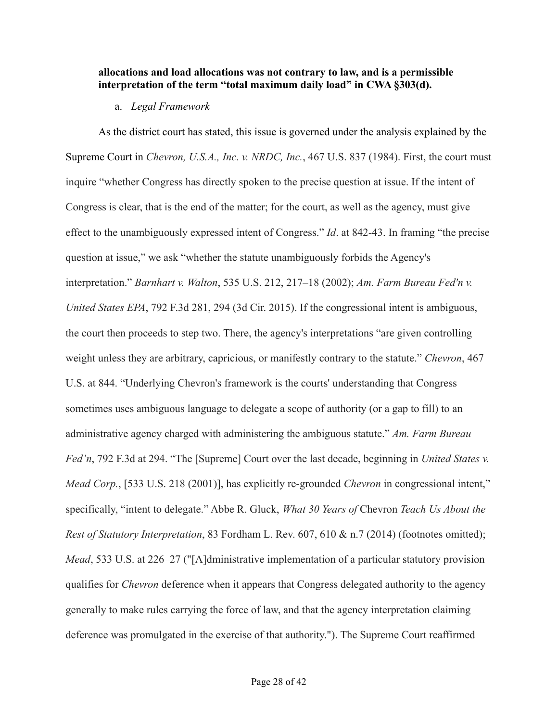## **allocations and load allocations was not contrary to law, and is a permissible interpretation of the term "total maximum daily load" in CWA §303(d).**

## a. *Legal Framework*

As the district court has stated, this issue is governed under the analysis explained by the Supreme Court in *Chevron, U.S.A., Inc. v. NRDC, Inc.*, 467 U.S. 837 (1984). First, the court must inquire "whether Congress has directly spoken to the precise question at issue. If the intent of Congress is clear, that is the end of the matter; for the court, as well as the agency, must give effect to the unambiguously expressed intent of Congress." *Id*. at 842-43. In framing "the precise question at issue," we ask "whether the statute unambiguously forbids the Agency's interpretation." *Barnhart v. Walton*, 535 U.S. 212, 217–18 (2002); *Am. Farm Bureau Fed'n v. United States EPA*, 792 F.3d 281, 294 (3d Cir. 2015). If the congressional intent is ambiguous, the court then proceeds to step two. There, the agency's interpretations "are given controlling weight unless they are arbitrary, capricious, or manifestly contrary to the statute." *Chevron*, 467 U.S. at 844. "Underlying Chevron's framework is the courts' understanding that Congress sometimes uses ambiguous language to delegate a scope of authority (or a gap to fill) to an administrative agency charged with administering the ambiguous statute." *Am. Farm Bureau Fed'n*, 792 F.3d at 294. "The [Supreme] Court over the last decade, beginning in *United States v. Mead Corp.*, [533 U.S. 218 (2001)], has explicitly re-grounded *Chevron* in congressional intent," specifically, "intent to delegate." Abbe R. Gluck, *What 30 Years of* Chevron *Teach Us About the Rest of Statutory Interpretation*, 83 Fordham L. Rev. 607, 610 & n.7 (2014) (footnotes omitted); *Mead*, 533 U.S. at 226–27 ("[A]dministrative implementation of a particular statutory provision qualifies for *Chevron* deference when it appears that Congress delegated authority to the agency generally to make rules carrying the force of law, and that the agency interpretation claiming deference was promulgated in the exercise of that authority."). The Supreme Court reaffirmed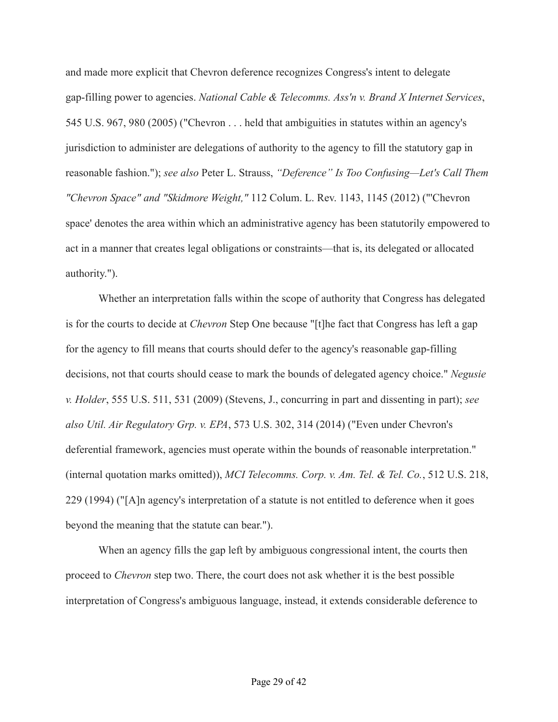and made more explicit that Chevron deference recognizes Congress's intent to delegate gap-filling power to agencies. *National Cable & Telecomms. Ass'n v. Brand X Internet Services*, 545 U.S. 967, 980 (2005) ("Chevron . . . held that ambiguities in statutes within an agency's jurisdiction to administer are delegations of authority to the agency to fill the statutory gap in reasonable fashion."); *see also* Peter L. Strauss, *"Deference" Is Too Confusing—Let's Call Them "Chevron Space" and "Skidmore Weight,"* 112 Colum. L. Rev. 1143, 1145 (2012) ("'Chevron space' denotes the area within which an administrative agency has been statutorily empowered to act in a manner that creates legal obligations or constraints—that is, its delegated or allocated authority.").

Whether an interpretation falls within the scope of authority that Congress has delegated is for the courts to decide at *Chevron* Step One because "[t]he fact that Congress has left a gap for the agency to fill means that courts should defer to the agency's reasonable gap-filling decisions, not that courts should cease to mark the bounds of delegated agency choice." *Negusie v. Holder*, 555 U.S. 511, 531 (2009) (Stevens, J., concurring in part and dissenting in part); *see also Util. Air Regulatory Grp. v. EPA*, 573 U.S. 302, 314 (2014) ("Even under Chevron's deferential framework, agencies must operate within the bounds of reasonable interpretation." (internal quotation marks omitted)), *MCI Telecomms. Corp. v. Am. Tel. & Tel. Co.*, 512 U.S. 218, 229 (1994) ("[A]n agency's interpretation of a statute is not entitled to deference when it goes beyond the meaning that the statute can bear.").

When an agency fills the gap left by ambiguous congressional intent, the courts then proceed to *Chevron* step two. There, the court does not ask whether it is the best possible interpretation of Congress's ambiguous language, instead, it extends considerable deference to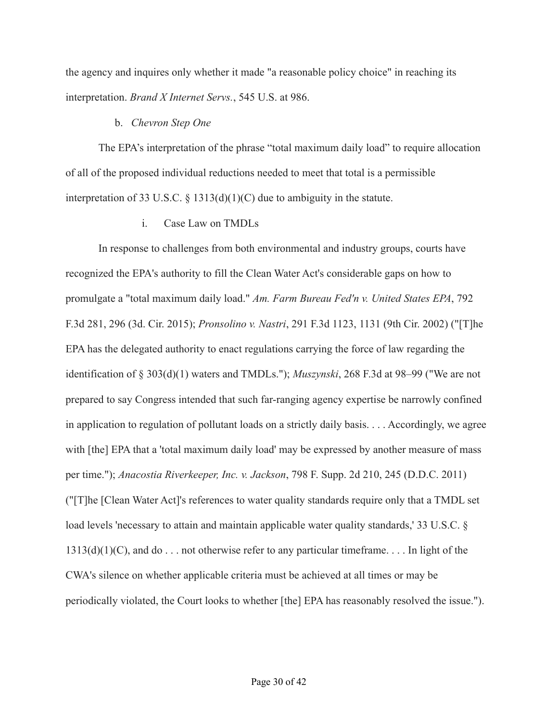the agency and inquires only whether it made "a reasonable policy choice" in reaching its interpretation. *Brand X Internet Servs.*, 545 U.S. at 986.

## b. *Chevron Step One*

The EPA's interpretation of the phrase "total maximum daily load" to require allocation of all of the proposed individual reductions needed to meet that total is a permissible interpretation of 33 U.S.C. § 1313(d)(1)(C) due to ambiguity in the statute.

i. Case Law on TMDLs

In response to challenges from both environmental and industry groups, courts have recognized the EPA's authority to fill the Clean Water Act's considerable gaps on how to promulgate a "total maximum daily load." *Am. Farm Bureau Fed'n v. United States EPA*, 792 F.3d 281, 296 (3d. Cir. 2015); *Pronsolino v. Nastri*, 291 F.3d 1123, 1131 (9th Cir. 2002) ("[T]he EPA has the delegated authority to enact regulations carrying the force of law regarding the identification of § 303(d)(1) waters and TMDLs."); *Muszynski*, 268 F.3d at 98–99 ("We are not prepared to say Congress intended that such far-ranging agency expertise be narrowly confined in application to regulation of pollutant loads on a strictly daily basis. . . . Accordingly, we agree with [the] EPA that a 'total maximum daily load' may be expressed by another measure of mass per time."); *Anacostia Riverkeeper, Inc. v. Jackson*, 798 F. Supp. 2d 210, 245 (D.D.C. 2011) ("[T]he [Clean Water Act]'s references to water quality standards require only that a TMDL set load levels 'necessary to attain and maintain applicable water quality standards,' 33 U.S.C. §  $1313(d)(1)(C)$ , and do . . . not otherwise refer to any particular timeframe. . . . In light of the CWA's silence on whether applicable criteria must be achieved at all times or may be periodically violated, the Court looks to whether [the] EPA has reasonably resolved the issue.").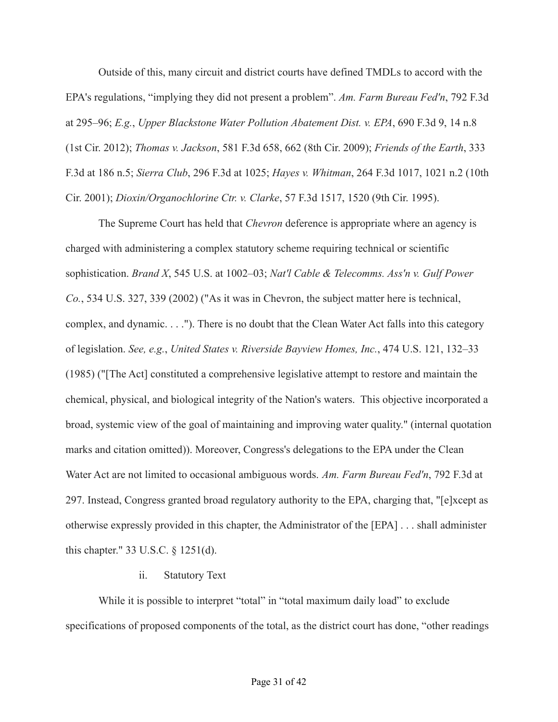Outside of this, many circuit and district courts have defined TMDLs to accord with the EPA's regulations, "implying they did not present a problem". *Am. Farm Bureau Fed'n*, 792 F.3d at 295–96; *E.g.*, *Upper Blackstone Water Pollution Abatement Dist. v. EPA*, 690 F.3d 9, 14 n.8 (1st Cir. 2012); *Thomas v. Jackson*, 581 F.3d 658, 662 (8th Cir. 2009); *Friends of the Earth*, 333 F.3d at 186 n.5; *Sierra Club*, 296 F.3d at 1025; *Hayes v. Whitman*, 264 F.3d 1017, 1021 n.2 (10th Cir. 2001); *Dioxin/Organochlorine Ctr. v. Clarke*, 57 F.3d 1517, 1520 (9th Cir. 1995).

The Supreme Court has held that *Chevron* deference is appropriate where an agency is charged with administering a complex statutory scheme requiring technical or scientific sophistication. *Brand X*, 545 U.S. at 1002–03; *Nat'l Cable & Telecomms. Ass'n v. Gulf Power Co.*, 534 U.S. 327, 339 (2002) ("As it was in Chevron, the subject matter here is technical, complex, and dynamic. . . ."). There is no doubt that the Clean Water Act falls into this category of legislation. *See, e.g.*, *United States v. Riverside Bayview Homes, Inc.*, 474 U.S. 121, 132–33 (1985) ("[The Act] constituted a comprehensive legislative attempt to restore and maintain the chemical, physical, and biological integrity of the Nation's waters. This objective incorporated a broad, systemic view of the goal of maintaining and improving water quality." (internal quotation marks and citation omitted)). Moreover, Congress's delegations to the EPA under the Clean Water Act are not limited to occasional ambiguous words. *Am. Farm Bureau Fed'n*, 792 F.3d at 297. Instead, Congress granted broad regulatory authority to the EPA, charging that, "[e]xcept as otherwise expressly provided in this chapter, the Administrator of the [EPA] . . . shall administer this chapter." 33 U.S.C. § 1251(d).

## ii. Statutory Text

While it is possible to interpret "total" in "total maximum daily load" to exclude specifications of proposed components of the total, as the district court has done, "other readings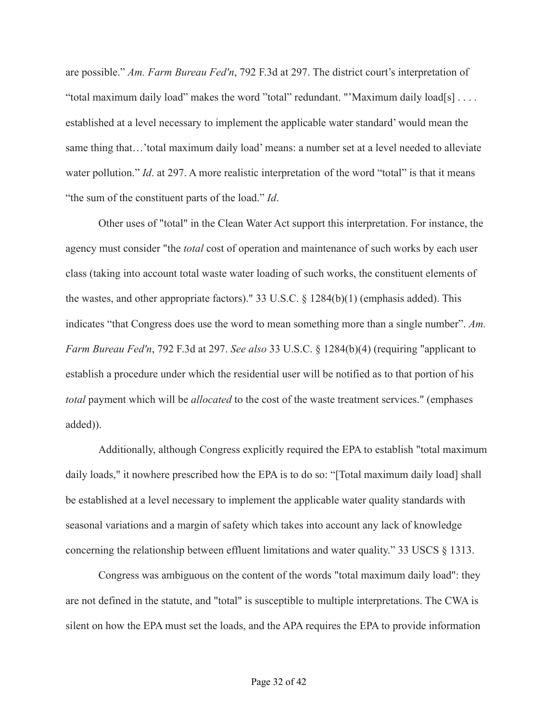are possible." *Am. Farm Bureau Fed'n*, 792 F.3d at 297. The district court's interpretation of "total maximum daily load" makes the word "total" redundant. "'Maximum daily load[s] . . . . established at a level necessary to implement the applicable water standard' would mean the same thing that…'total maximum daily load' means: a number set at a level needed to alleviate water pollution." *Id.* at 297. A more realistic interpretation of the word "total" is that it means "the sum of the constituent parts of the load." *Id*.

Other uses of "total" in the Clean Water Act support this interpretation. For instance, the agency must consider "the *total* cost of operation and maintenance of such works by each user class (taking into account total waste water loading of such works, the constituent elements of the wastes, and other appropriate factors)." 33 U.S.C. § 1284(b)(1) (emphasis added). This indicates "that Congress does use the word to mean something more than a single number". *Am. Farm Bureau Fed'n*, 792 F.3d at 297. *See also* 33 U.S.C. § 1284(b)(4) (requiring "applicant to establish a procedure under which the residential user will be notified as to that portion of his *total* payment which will be *allocated* to the cost of the waste treatment services." (emphases added)).

Additionally, although Congress explicitly required the EPA to establish "total maximum daily loads," it nowhere prescribed how the EPA is to do so: "[Total maximum daily load] shall be established at a level necessary to implement the applicable water quality standards with seasonal variations and a margin of safety which takes into account any lack of knowledge concerning the relationship between effluent limitations and water quality." 33 USCS § 1313.

Congress was ambiguous on the content of the words "total maximum daily load": they are not defined in the statute, and "total" is susceptible to multiple interpretations. The CWA is silent on how the EPA must set the loads, and the APA requires the EPA to provide information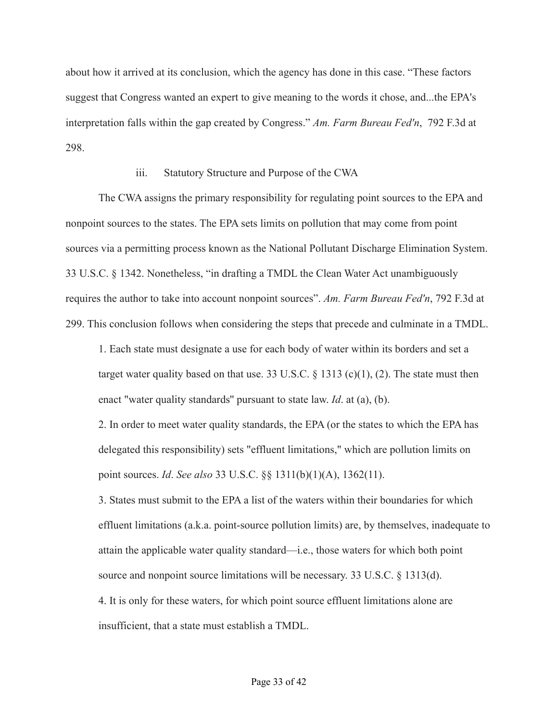about how it arrived at its conclusion, which the agency has done in this case. "These factors suggest that Congress wanted an expert to give meaning to the words it chose, and...the EPA's interpretation falls within the gap created by Congress." *Am. Farm Bureau Fed'n*, 792 F.3d at 298.

#### iii. Statutory Structure and Purpose of the CWA

The CWA assigns the primary responsibility for regulating point sources to the EPA and nonpoint sources to the states. The EPA sets limits on pollution that may come from point sources via a permitting process known as the National Pollutant Discharge Elimination System. 33 U.S.C. § 1342. Nonetheless, "in drafting a TMDL the Clean Water Act unambiguously requires the author to take into account nonpoint sources". *Am. Farm Bureau Fed'n*, 792 F.3d at 299. This conclusion follows when considering the steps that precede and culminate in a TMDL.

1. Each state must designate a use for each body of water within its borders and set a target water quality based on that use. 33 U.S.C.  $\S$  1313 (c)(1), (2). The state must then enact "water quality standards'' pursuant to state law. *Id*. at (a), (b).

2. In order to meet water quality standards, the EPA (or the states to which the EPA has delegated this responsibility) sets "effluent limitations," which are pollution limits on point sources. *Id*. *See also* 33 U.S.C. §§ 1311(b)(1)(A), 1362(11).

3. States must submit to the EPA a list of the waters within their boundaries for which effluent limitations (a.k.a. point-source pollution limits) are, by themselves, inadequate to attain the applicable water quality standard—i.e., those waters for which both point source and nonpoint source limitations will be necessary. 33 U.S.C. § 1313(d).

4. It is only for these waters, for which point source effluent limitations alone are insufficient, that a state must establish a TMDL.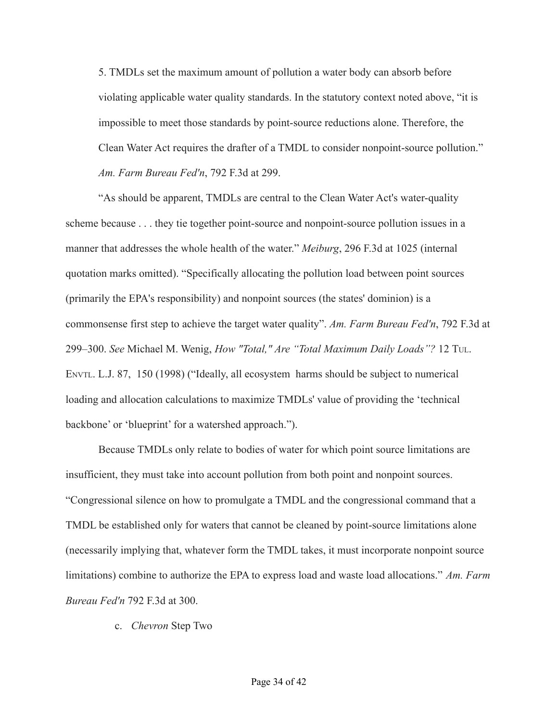5. TMDLs set the maximum amount of pollution a water body can absorb before violating applicable water quality standards. In the statutory context noted above, "it is impossible to meet those standards by point-source reductions alone. Therefore, the Clean Water Act requires the drafter of a TMDL to consider nonpoint-source pollution." *Am. Farm Bureau Fed'n*, 792 F.3d at 299.

"As should be apparent, TMDLs are central to the Clean Water Act's water-quality scheme because . . . they tie together point-source and nonpoint-source pollution issues in a manner that addresses the whole health of the water." *Meiburg*, 296 F.3d at 1025 (internal quotation marks omitted). "Specifically allocating the pollution load between point sources (primarily the EPA's responsibility) and nonpoint sources (the states' dominion) is a commonsense first step to achieve the target water quality". *Am. Farm Bureau Fed'n*, 792 F.3d at 299–300. *See* Michael M. Wenig, *How "Total," Are "Total Maximum Daily Loads"?* 12 TUL. ENVTL. L.J. 87, 150 (1998) ("Ideally, all ecosystem harms should be subject to numerical loading and allocation calculations to maximize TMDLs' value of providing the 'technical backbone' or 'blueprint' for a watershed approach.").

Because TMDLs only relate to bodies of water for which point source limitations are insufficient, they must take into account pollution from both point and nonpoint sources. "Congressional silence on how to promulgate a TMDL and the congressional command that a TMDL be established only for waters that cannot be cleaned by point-source limitations alone (necessarily implying that, whatever form the TMDL takes, it must incorporate nonpoint source limitations) combine to authorize the EPA to express load and waste load allocations." *Am. Farm Bureau Fed'n* 792 F.3d at 300.

c. *Chevron* Step Two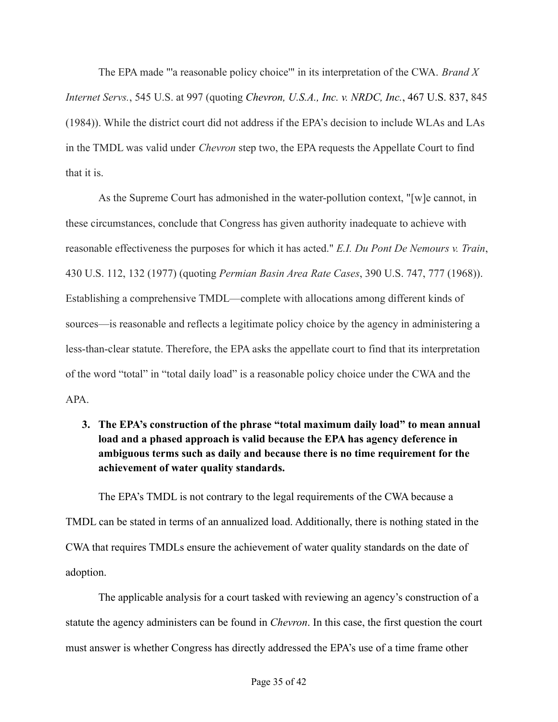The EPA made "'a reasonable policy choice'" in its interpretation of the CWA. *Brand X Internet Servs.*, 545 U.S. at 997 (quoting *Chevron, U.S.A., Inc. v. NRDC, Inc.*, 467 U.S. 837, 845 (1984)). While the district court did not address if the EPA's decision to include WLAs and LAs in the TMDL was valid under *Chevron* step two, the EPA requests the Appellate Court to find that it is.

As the Supreme Court has admonished in the water-pollution context, "[w]e cannot, in these circumstances, conclude that Congress has given authority inadequate to achieve with reasonable effectiveness the purposes for which it has acted." *E.I. Du Pont De Nemours v. Train*, 430 U.S. 112, 132 (1977) (quoting *Permian Basin Area Rate Cases*, 390 U.S. 747, 777 (1968)). Establishing a comprehensive TMDL—complete with allocations among different kinds of sources—is reasonable and reflects a legitimate policy choice by the agency in administering a less-than-clear statute. Therefore, the EPA asks the appellate court to find that its interpretation of the word "total" in "total daily load" is a reasonable policy choice under the CWA and the APA.

**3. The EPA's construction of the phrase "total maximum daily load" to mean annual load and a phased approach is valid because the EPA has agency deference in ambiguous terms such as daily and because there is no time requirement for the achievement of water quality standards.**

The EPA's TMDL is not contrary to the legal requirements of the CWA because a TMDL can be stated in terms of an annualized load. Additionally, there is nothing stated in the CWA that requires TMDLs ensure the achievement of water quality standards on the date of adoption.

The applicable analysis for a court tasked with reviewing an agency's construction of a statute the agency administers can be found in *Chevron*. In this case, the first question the court must answer is whether Congress has directly addressed the EPA's use of a time frame other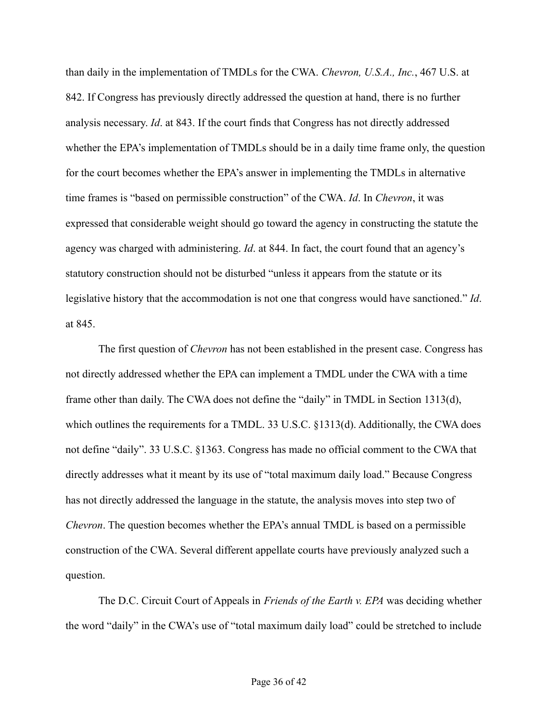than daily in the implementation of TMDLs for the CWA. *Chevron, U.S.A., Inc.*, 467 U.S. at 842. If Congress has previously directly addressed the question at hand, there is no further analysis necessary. *Id*. at 843. If the court finds that Congress has not directly addressed whether the EPA's implementation of TMDLs should be in a daily time frame only, the question for the court becomes whether the EPA's answer in implementing the TMDLs in alternative time frames is "based on permissible construction" of the CWA. *Id*. In *Chevron*, it was expressed that considerable weight should go toward the agency in constructing the statute the agency was charged with administering. *Id*. at 844. In fact, the court found that an agency's statutory construction should not be disturbed "unless it appears from the statute or its legislative history that the accommodation is not one that congress would have sanctioned." *Id*. at 845.

The first question of *Chevron* has not been established in the present case. Congress has not directly addressed whether the EPA can implement a TMDL under the CWA with a time frame other than daily. The CWA does not define the "daily" in TMDL in Section 1313(d), which outlines the requirements for a TMDL. 33 U.S.C. §1313(d). Additionally, the CWA does not define "daily". 33 U.S.C. §1363. Congress has made no official comment to the CWA that directly addresses what it meant by its use of "total maximum daily load." Because Congress has not directly addressed the language in the statute, the analysis moves into step two of *Chevron*. The question becomes whether the EPA's annual TMDL is based on a permissible construction of the CWA. Several different appellate courts have previously analyzed such a question.

The D.C. Circuit Court of Appeals in *Friends of the Earth v. EPA* was deciding whether the word "daily" in the CWA's use of "total maximum daily load" could be stretched to include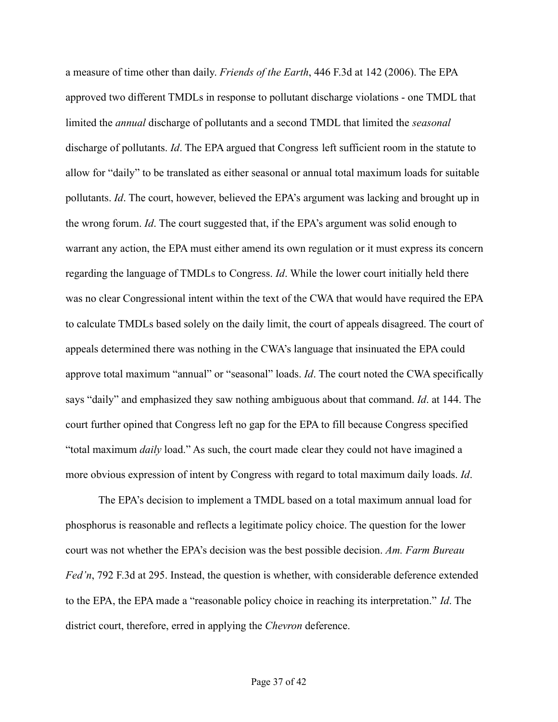a measure of time other than daily. *Friends of the Earth*, 446 F.3d at 142 (2006). The EPA approved two different TMDLs in response to pollutant discharge violations - one TMDL that limited the *annual* discharge of pollutants and a second TMDL that limited the *seasonal* discharge of pollutants. *Id*. The EPA argued that Congress left sufficient room in the statute to allow for "daily" to be translated as either seasonal or annual total maximum loads for suitable pollutants. *Id*. The court, however, believed the EPA's argument was lacking and brought up in the wrong forum. *Id*. The court suggested that, if the EPA's argument was solid enough to warrant any action, the EPA must either amend its own regulation or it must express its concern regarding the language of TMDLs to Congress. *Id*. While the lower court initially held there was no clear Congressional intent within the text of the CWA that would have required the EPA to calculate TMDLs based solely on the daily limit, the court of appeals disagreed. The court of appeals determined there was nothing in the CWA's language that insinuated the EPA could approve total maximum "annual" or "seasonal" loads. *Id*. The court noted the CWA specifically says "daily" and emphasized they saw nothing ambiguous about that command. *Id*. at 144. The court further opined that Congress left no gap for the EPA to fill because Congress specified "total maximum *daily* load." As such, the court made clear they could not have imagined a more obvious expression of intent by Congress with regard to total maximum daily loads. *Id*.

The EPA's decision to implement a TMDL based on a total maximum annual load for phosphorus is reasonable and reflects a legitimate policy choice. The question for the lower court was not whether the EPA's decision was the best possible decision. *Am. Farm Bureau Fed'n*, 792 F.3d at 295. Instead, the question is whether, with considerable deference extended to the EPA, the EPA made a "reasonable policy choice in reaching its interpretation." *Id*. The district court, therefore, erred in applying the *Chevron* deference.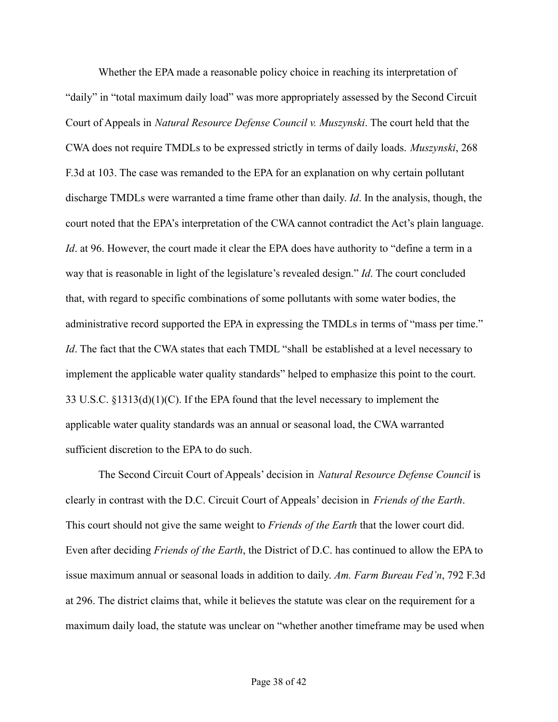Whether the EPA made a reasonable policy choice in reaching its interpretation of "daily" in "total maximum daily load" was more appropriately assessed by the Second Circuit Court of Appeals in *Natural Resource Defense Council v. Muszynski*. The court held that the CWA does not require TMDLs to be expressed strictly in terms of daily loads. *Muszynski*, 268 F.3d at 103. The case was remanded to the EPA for an explanation on why certain pollutant discharge TMDLs were warranted a time frame other than daily. *Id*. In the analysis, though, the court noted that the EPA's interpretation of the CWA cannot contradict the Act's plain language. *Id.* at 96. However, the court made it clear the EPA does have authority to "define a term in a way that is reasonable in light of the legislature's revealed design." *Id*. The court concluded that, with regard to specific combinations of some pollutants with some water bodies, the administrative record supported the EPA in expressing the TMDLs in terms of "mass per time." *Id*. The fact that the CWA states that each TMDL "shall be established at a level necessary to implement the applicable water quality standards" helped to emphasize this point to the court. 33 U.S.C. §1313(d)(1)(C). If the EPA found that the level necessary to implement the applicable water quality standards was an annual or seasonal load, the CWA warranted sufficient discretion to the EPA to do such.

The Second Circuit Court of Appeals' decision in *Natural Resource Defense Council* is clearly in contrast with the D.C. Circuit Court of Appeals' decision in *Friends of the Earth*. This court should not give the same weight to *Friends of the Earth* that the lower court did. Even after deciding *Friends of the Earth*, the District of D.C. has continued to allow the EPA to issue maximum annual or seasonal loads in addition to daily. *Am. Farm Bureau Fed'n*, 792 F.3d at 296. The district claims that, while it believes the statute was clear on the requirement for a maximum daily load, the statute was unclear on "whether another timeframe may be used when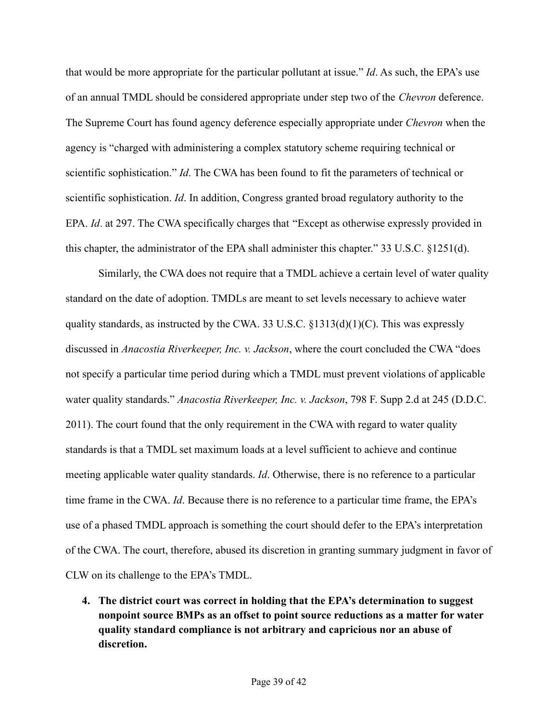that would be more appropriate for the particular pollutant at issue." *Id*. As such, the EPA's use of an annual TMDL should be considered appropriate under step two of the *Chevron* deference. The Supreme Court has found agency deference especially appropriate under *Chevron* when the agency is "charged with administering a complex statutory scheme requiring technical or scientific sophistication." *Id*. The CWA has been found to fit the parameters of technical or scientific sophistication. *Id*. In addition, Congress granted broad regulatory authority to the EPA. *Id*. at 297. The CWA specifically charges that "Except as otherwise expressly provided in this chapter, the administrator of the EPA shall administer this chapter." 33 U.S.C. §1251(d).

Similarly, the CWA does not require that a TMDL achieve a certain level of water quality standard on the date of adoption. TMDLs are meant to set levels necessary to achieve water quality standards, as instructed by the CWA. 33 U.S.C.  $\S$ 1313(d)(1)(C). This was expressly discussed in *Anacostia Riverkeeper, Inc. v. Jackson*, where the court concluded the CWA "does not specify a particular time period during which a TMDL must prevent violations of applicable water quality standards." *Anacostia Riverkeeper, Inc. v. Jackson*, 798 F. Supp 2.d at 245 (D.D.C. 2011). The court found that the only requirement in the CWA with regard to water quality standards is that a TMDL set maximum loads at a level sufficient to achieve and continue meeting applicable water quality standards. *Id*. Otherwise, there is no reference to a particular time frame in the CWA. *Id*. Because there is no reference to a particular time frame, the EPA's use of a phased TMDL approach is something the court should defer to the EPA's interpretation of the CWA. The court, therefore, abused its discretion in granting summary judgment in favor of CLW on its challenge to the EPA's TMDL.

**4. The district court was correct in holding that the EPA's determination to suggest nonpoint source BMPs as an offset to point source reductions as a matter for water quality standard compliance is not arbitrary and capricious nor an abuse of discretion.**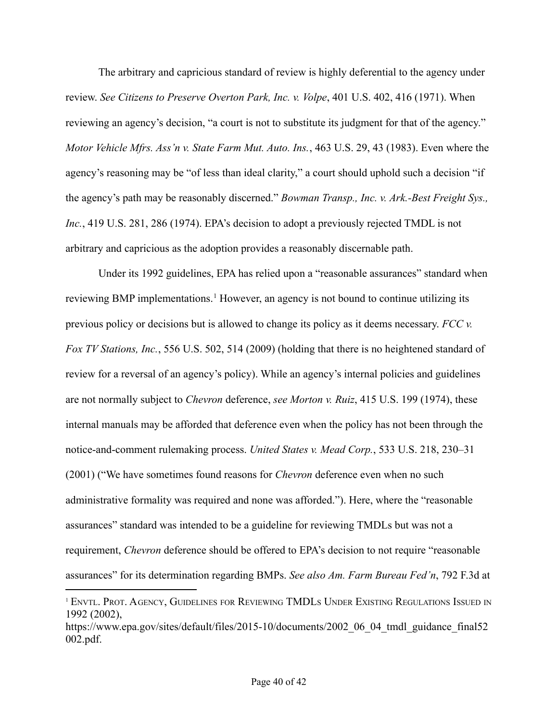The arbitrary and capricious standard of review is highly deferential to the agency under review. *See Citizens to Preserve Overton Park, Inc. v. Volpe*, 401 U.S. 402, 416 (1971). When reviewing an agency's decision, "a court is not to substitute its judgment for that of the agency." *Motor Vehicle Mfrs. Ass'n v. State Farm Mut. Auto. Ins.*, 463 U.S. 29, 43 (1983). Even where the agency's reasoning may be "of less than ideal clarity," a court should uphold such a decision "if the agency's path may be reasonably discerned." *Bowman Transp., Inc. v. Ark.-Best Freight Sys., Inc.*, 419 U.S. 281, 286 (1974). EPA's decision to adopt a previously rejected TMDL is not arbitrary and capricious as the adoption provides a reasonably discernable path.

Under its 1992 guidelines, EPA has relied upon a "reasonable assurances" standard when reviewing BMP implementations.<sup>1</sup> However, an agency is not bound to continue utilizing its previous policy or decisions but is allowed to change its policy as it deems necessary. *FCC v. Fox TV Stations, Inc.*, 556 U.S. 502, 514 (2009) (holding that there is no heightened standard of review for a reversal of an agency's policy). While an agency's internal policies and guidelines are not normally subject to *Chevron* deference, *see Morton v. Ruiz*, 415 U.S. 199 (1974), these internal manuals may be afforded that deference even when the policy has not been through the notice-and-comment rulemaking process. *United States v. Mead Corp.*, 533 U.S. 218, 230–31 (2001) ("We have sometimes found reasons for *Chevron* deference even when no such administrative formality was required and none was afforded."). Here, where the "reasonable assurances" standard was intended to be a guideline for reviewing TMDLs but was not a requirement, *Chevron* deference should be offered to EPA's decision to not require "reasonable assurances" for its determination regarding BMPs. *See also Am. Farm Bureau Fed'n*, 792 F.3d at

<sup>&</sup>lt;sup>1</sup> ENVTL. PROT. AGENCY, GUIDELINES FOR REVIEWING TMDLS UNDER EXISTING REGULATIONS ISSUED IN 1992 (2002),

https://www.epa.gov/sites/default/files/2015-10/documents/2002\_06\_04\_tmdl\_guidance\_final52 002.pdf.